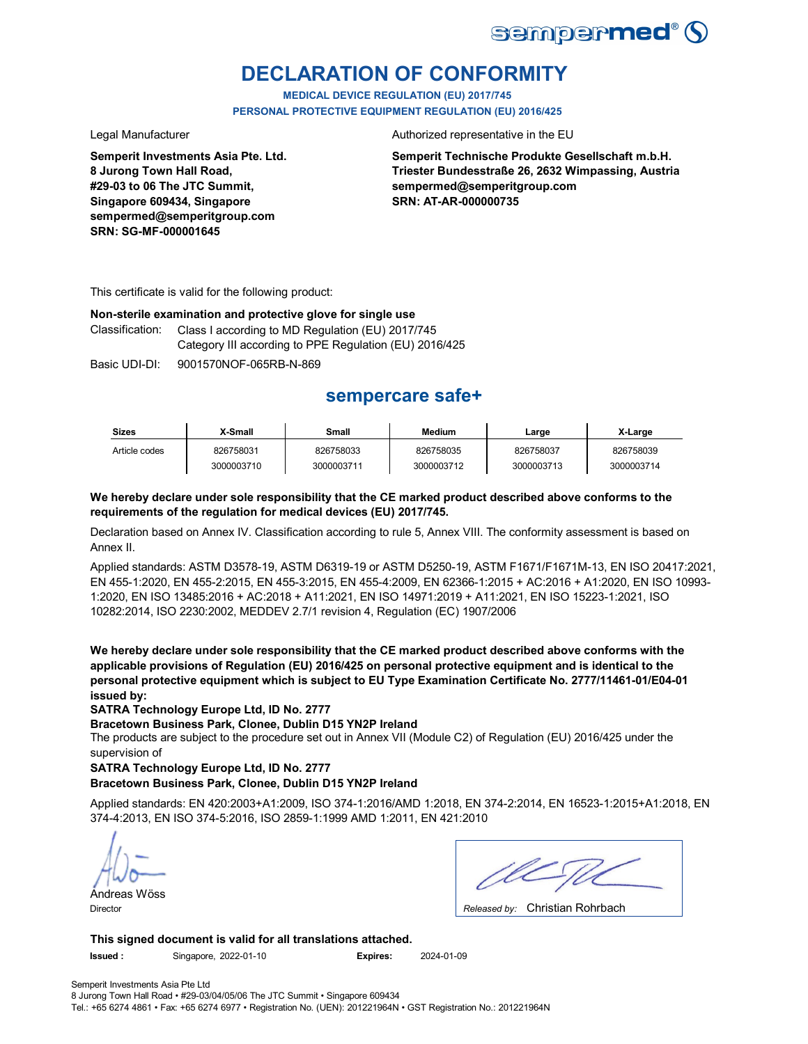

# **DECLARATION OF CONFORMITY**

**MEDICAL DEVICE REGULATION (EU) 2017/745 PERSONAL PROTECTIVE EQUIPMENT REGULATION (EU) 2016/425**

**Semperit Investments Asia Pte. Ltd. 8 Jurong Town Hall Road, #29-03 to 06 The JTC Summit, Singapore 609434, Singapore sempermed@semperitgroup.com SRN: SG-MF-000001645**

Legal Manufacturer **Authorized representative in the EU** 

**Semperit Technische Produkte Gesellschaft m.b.H. Triester Bundesstraße 26, 2632 Wimpassing, Austria sempermed@semperitgroup.com SRN: AT-AR-000000735**

This certificate is valid for the following product:

### **Non-sterile examination and protective glove for single use**

Classification: Class I according to MD Regulation (EU) 2017/745 Category III according to PPE Regulation (EU) 2016/425

Basic UDI-DI: 9001570NOF-065RB-N-869

## **sempercare safe+**

| <b>Sizes</b>  | X-Small    | Small      | <b>Medium</b> | Large      | X-Large    |
|---------------|------------|------------|---------------|------------|------------|
| Article codes | 826758031  | 826758033  | 826758035     | 826758037  | 826758039  |
|               | 3000003710 | 3000003711 | 3000003712    | 3000003713 | 3000003714 |

### **We hereby declare under sole responsibility that the CE marked product described above conforms to the requirements of the regulation for medical devices (EU) 2017/745.**

Declaration based on Annex IV. Classification according to rule 5, Annex VIII. The conformity assessment is based on Annex II.

Applied standards: ASTM D3578-19, ASTM D6319-19 or ASTM D5250-19, ASTM F1671/F1671M-13, EN ISO 20417:2021, EN 455-1:2020, EN 455-2:2015, EN 455-3:2015, EN 455-4:2009, EN 62366-1:2015 + AC:2016 + A1:2020, EN ISO 10993- 1:2020, EN ISO 13485:2016 + AC:2018 + A11:2021, EN ISO 14971:2019 + A11:2021, EN ISO 15223-1:2021, ISO 10282:2014, ISO 2230:2002, MEDDEV 2.7/1 revision 4, Regulation (EC) 1907/2006

**We hereby declare under sole responsibility that the CE marked product described above conforms with the applicable provisions of Regulation (EU) 2016/425 on personal protective equipment and is identical to the personal protective equipment which is subject to EU Type Examination Certificate No. 2777/11461-01/E04-01 issued by:**

**SATRA Technology Europe Ltd, ID No. 2777**

**Bracetown Business Park, Clonee, Dublin D15 YN2P Ireland**

The products are subject to the procedure set out in Annex VII (Module C2) of Regulation (EU) 2016/425 under the supervision of

### **SATRA Technology Europe Ltd, ID No. 2777**

### **Bracetown Business Park, Clonee, Dublin D15 YN2P Ireland**

Applied standards: EN 420:2003+A1:2009, ISO 374-1:2016/AMD 1:2018, EN 374-2:2014, EN 16523-1:2015+A1:2018, EN 374-4:2013, EN ISO 374-5:2016, ISO 2859-1:1999 AMD 1:2011, EN 421:2010

Andreas Wöss

Christian Rohrbach Director *Released by:* 

**This signed document is valid for all translations attached.**

**Issued :** Singapore, 2022-01-10 **Expires:** 2024-01-09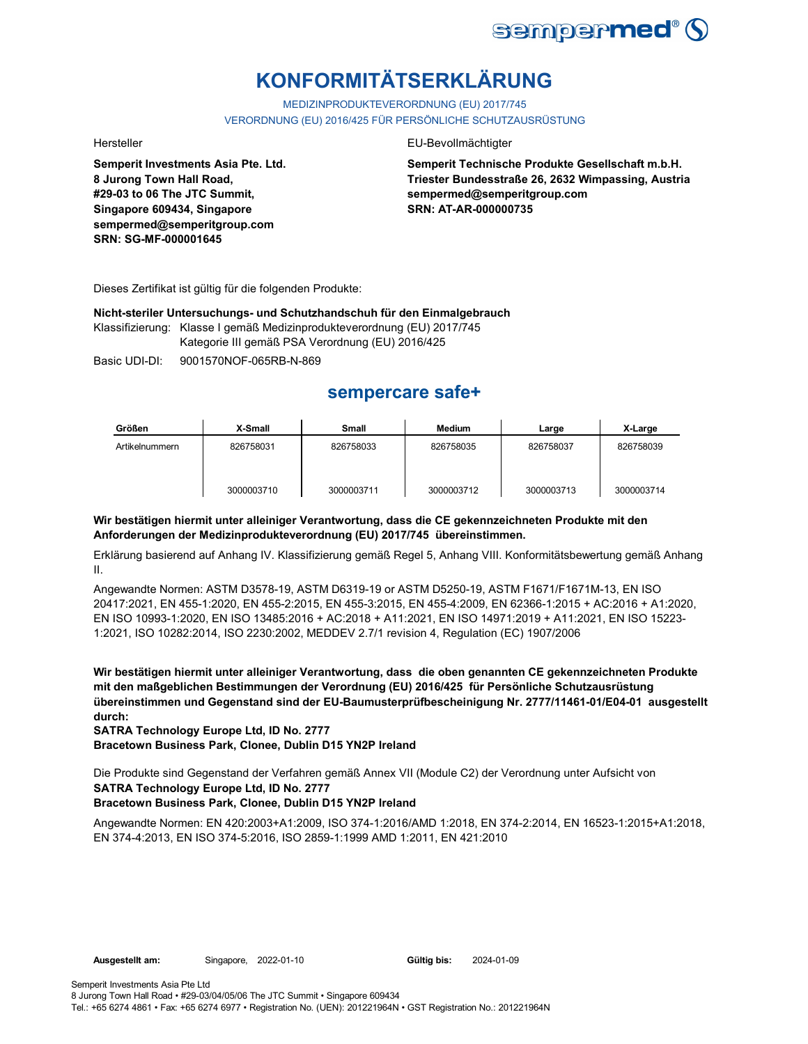

# **KONFORMITÄTSERKLÄRUNG**

MEDIZINPRODUKTEVERORDNUNG (EU) 2017/745 VERORDNUNG (EU) 2016/425 FÜR PERSÖNLICHE SCHUTZAUSRÜSTUNG

**Semperit Investments Asia Pte. Ltd. 8 Jurong Town Hall Road, #29-03 to 06 The JTC Summit, Singapore 609434, Singapore sempermed@semperitgroup.com SRN: SG-MF-000001645**

#### Hersteller EU-Bevollmächtigter

**Semperit Technische Produkte Gesellschaft m.b.H. Triester Bundesstraße 26, 2632 Wimpassing, Austria sempermed@semperitgroup.com SRN: AT-AR-000000735**

Dieses Zertifikat ist gültig für die folgenden Produkte:

**Nicht-steriler Untersuchungs- und Schutzhandschuh für den Einmalgebrauch**

Klassifizierung: Klasse I gemäß Medizinprodukteverordnung (EU) 2017/745

Kategorie III gemäß PSA Verordnung (EU) 2016/425

Basic UDI-DI: 9001570NOF-065RB-N-869

## **sempercare safe+**

| Größen         | X-Small    | <b>Small</b> | Medium     | Large      | X-Large    |
|----------------|------------|--------------|------------|------------|------------|
| Artikelnummern | 826758031  | 826758033    | 826758035  | 826758037  | 826758039  |
|                | 3000003710 | 3000003711   | 3000003712 | 3000003713 | 3000003714 |

### **Wir bestätigen hiermit unter alleiniger Verantwortung, dass die CE gekennzeichneten Produkte mit den Anforderungen der Medizinprodukteverordnung (EU) 2017/745 übereinstimmen.**

Erklärung basierend auf Anhang IV. Klassifizierung gemäß Regel 5, Anhang VIII. Konformitätsbewertung gemäß Anhang II.

Angewandte Normen: ASTM D3578-19, ASTM D6319-19 or ASTM D5250-19, ASTM F1671/F1671M-13, EN ISO 20417:2021, EN 455-1:2020, EN 455-2:2015, EN 455-3:2015, EN 455-4:2009, EN 62366-1:2015 + AC:2016 + A1:2020, EN ISO 10993-1:2020, EN ISO 13485:2016 + AC:2018 + A11:2021, EN ISO 14971:2019 + A11:2021, EN ISO 15223- 1:2021, ISO 10282:2014, ISO 2230:2002, MEDDEV 2.7/1 revision 4, Regulation (EC) 1907/2006

**Wir bestätigen hiermit unter alleiniger Verantwortung, dass die oben genannten CE gekennzeichneten Produkte mit den maßgeblichen Bestimmungen der Verordnung (EU) 2016/425 für Persönliche Schutzausrüstung übereinstimmen und Gegenstand sind der EU-Baumusterprüfbescheinigung Nr. 2777/11461-01/E04-01 ausgestellt durch:**

**SATRA Technology Europe Ltd, ID No. 2777**

**Bracetown Business Park, Clonee, Dublin D15 YN2P Ireland**

**SATRA Technology Europe Ltd, ID No. 2777** Die Produkte sind Gegenstand der Verfahren gemäß Annex VII (Module C2) der Verordnung unter Aufsicht von

### **Bracetown Business Park, Clonee, Dublin D15 YN2P Ireland**

Angewandte Normen: EN 420:2003+A1:2009, ISO 374-1:2016/AMD 1:2018, EN 374-2:2014, EN 16523-1:2015+A1:2018, EN 374-4:2013, EN ISO 374-5:2016, ISO 2859-1:1999 AMD 1:2011, EN 421:2010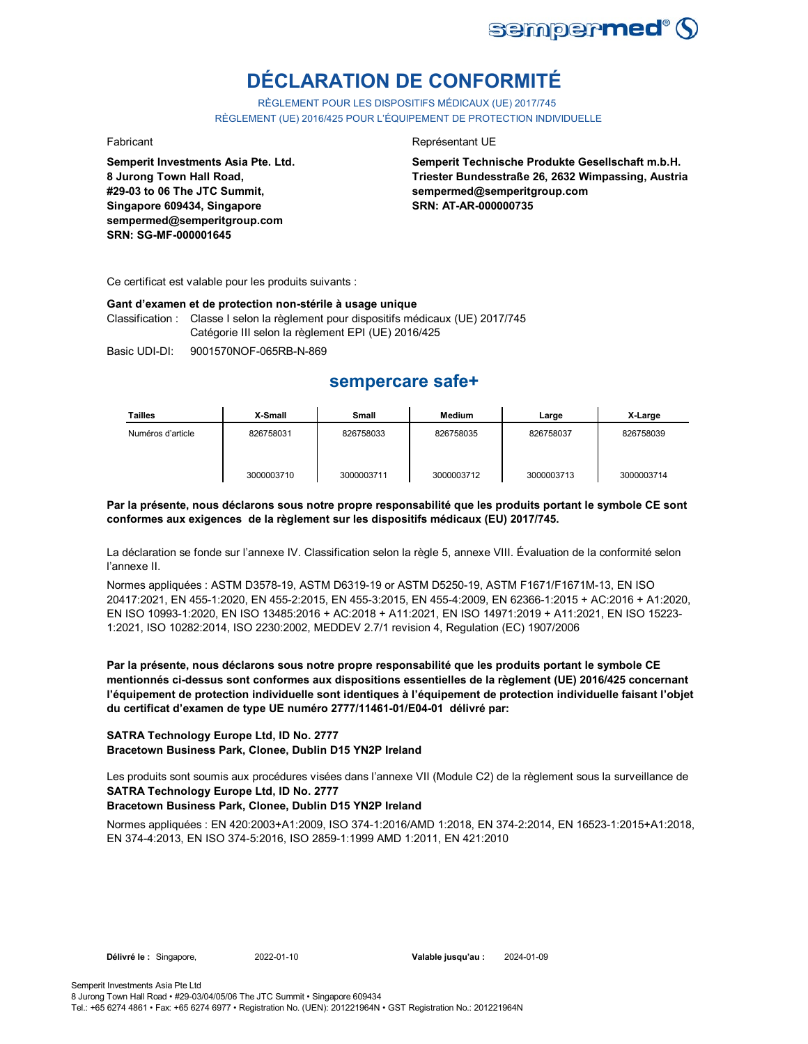

# **DÉCLARATION DE CONFORMITÉ**

RÈGLEMENT POUR LES DISPOSITIFS MÉDICAUX (UE) 2017/745 RÈGLEMENT (UE) 2016/425 POUR L'ÉQUIPEMENT DE PROTECTION INDIVIDUELLE

**Semperit Investments Asia Pte. Ltd. 8 Jurong Town Hall Road, #29-03 to 06 The JTC Summit, Singapore 609434, Singapore sempermed@semperitgroup.com SRN: SG-MF-000001645**

#### Fabricant **Représentant UE**

**Semperit Technische Produkte Gesellschaft m.b.H. Triester Bundesstraße 26, 2632 Wimpassing, Austria sempermed@semperitgroup.com SRN: AT-AR-000000735**

Ce certificat est valable pour les produits suivants :

#### **Gant d'examen et de protection non-stérile à usage unique**

Classification : Classe I selon la règlement pour dispositifs médicaux (UE) 2017/745 Catégorie III selon la règlement EPI (UE) 2016/425

Basic UDI-DI: 9001570NOF-065RB-N-869

## **sempercare safe+**

| Tailles           | X-Small    | Small      | Medium     | Large      | X-Large    |
|-------------------|------------|------------|------------|------------|------------|
| Numéros d'article | 826758031  | 826758033  | 826758035  | 826758037  | 826758039  |
|                   | 3000003710 | 3000003711 | 3000003712 | 3000003713 | 3000003714 |

#### **Par la présente, nous déclarons sous notre propre responsabilité que les produits portant le symbole CE sont conformes aux exigences de la règlement sur les dispositifs médicaux (EU) 2017/745.**

La déclaration se fonde sur l'annexe IV. Classification selon la règle 5, annexe VIII. Évaluation de la conformité selon l'annexe II.

Normes appliquées : ASTM D3578-19, ASTM D6319-19 or ASTM D5250-19, ASTM F1671/F1671M-13, EN ISO 20417:2021, EN 455-1:2020, EN 455-2:2015, EN 455-3:2015, EN 455-4:2009, EN 62366-1:2015 + AC:2016 + A1:2020, EN ISO 10993-1:2020, EN ISO 13485:2016 + AC:2018 + A11:2021, EN ISO 14971:2019 + A11:2021, EN ISO 15223- 1:2021, ISO 10282:2014, ISO 2230:2002, MEDDEV 2.7/1 revision 4, Regulation (EC) 1907/2006

**Par la présente, nous déclarons sous notre propre responsabilité que les produits portant le symbole CE mentionnés ci-dessus sont conformes aux dispositions essentielles de la règlement (UE) 2016/425 concernant l'équipement de protection individuelle sont identiques à l'équipement de protection individuelle faisant l'objet du certificat d'examen de type UE numéro 2777/11461-01/E04-01 délivré par:**

#### **SATRA Technology Europe Ltd, ID No. 2777 Bracetown Business Park, Clonee, Dublin D15 YN2P Ireland**

**SATRA Technology Europe Ltd, ID No. 2777** Les produits sont soumis aux procédures visées dans l'annexe VII (Module C2) de la règlement sous la surveillance de

### **Bracetown Business Park, Clonee, Dublin D15 YN2P Ireland**

Normes appliquées : EN 420:2003+A1:2009, ISO 374-1:2016/AMD 1:2018, EN 374-2:2014, EN 16523-1:2015+A1:2018, EN 374-4:2013, EN ISO 374-5:2016, ISO 2859-1:1999 AMD 1:2011, EN 421:2010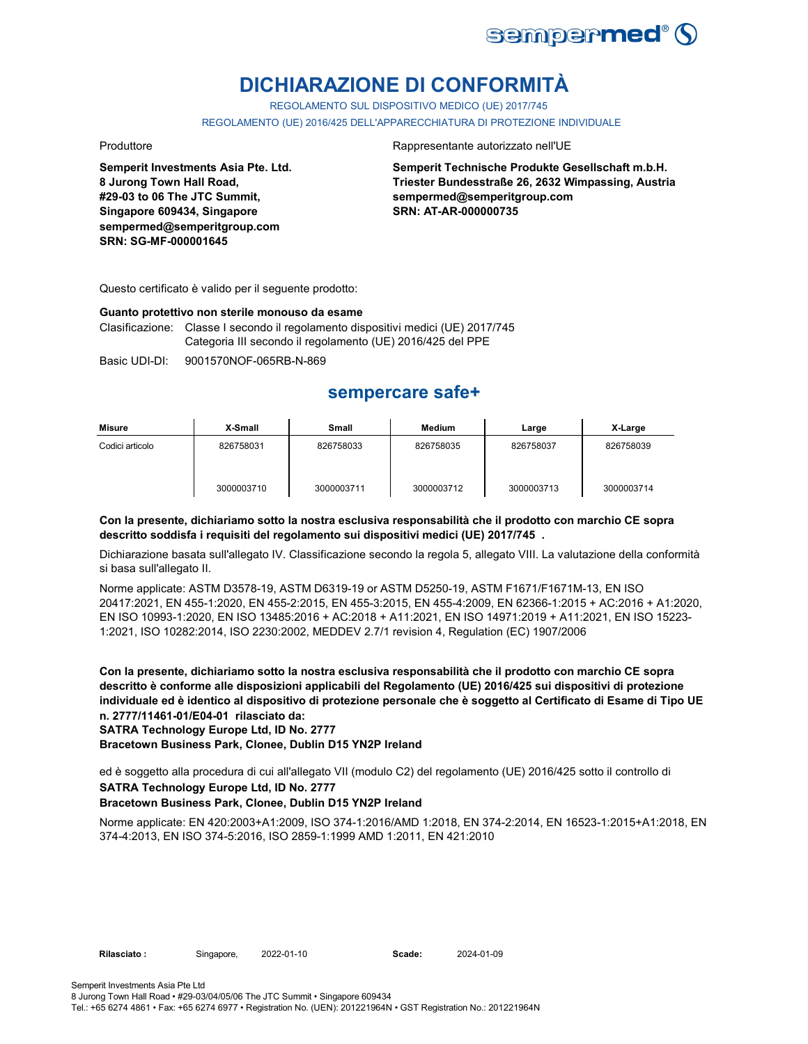

# **DICHIARAZIONE DI CONFORMITÀ**

REGOLAMENTO SUL DISPOSITIVO MEDICO (UE) 2017/745

REGOLAMENTO (UE) 2016/425 DELL'APPARECCHIATURA DI PROTEZIONE INDIVIDUALE

**Semperit Investments Asia Pte. Ltd. 8 Jurong Town Hall Road, #29-03 to 06 The JTC Summit, Singapore 609434, Singapore sempermed@semperitgroup.com SRN: SG-MF-000001645**

#### Produttore **Rappresentante autorizzato nell'UE**

**Semperit Technische Produkte Gesellschaft m.b.H. Triester Bundesstraße 26, 2632 Wimpassing, Austria sempermed@semperitgroup.com SRN: AT-AR-000000735**

Questo certificato è valido per il seguente prodotto:

#### **Guanto protettivo non sterile monouso da esame**

Clasificazione: Classe I secondo il regolamento dispositivi medici (UE) 2017/745 Categoria III secondo il regolamento (UE) 2016/425 del PPE

Basic UDI-DI: 9001570NOF-065RB-N-869

## **sempercare safe+**

| Misure          | X-Small    | <b>Small</b> | Medium     | Large      | X-Large    |
|-----------------|------------|--------------|------------|------------|------------|
| Codici articolo | 826758031  | 826758033    | 826758035  | 826758037  | 826758039  |
|                 | 3000003710 | 3000003711   | 3000003712 | 3000003713 | 3000003714 |

#### **Con la presente, dichiariamo sotto la nostra esclusiva responsabilità che il prodotto con marchio CE sopra descritto soddisfa i requisiti del regolamento sui dispositivi medici (UE) 2017/745 .**

Dichiarazione basata sull'allegato IV. Classificazione secondo la regola 5, allegato VIII. La valutazione della conformità si basa sull'allegato II.

Norme applicate: ASTM D3578-19, ASTM D6319-19 or ASTM D5250-19, ASTM F1671/F1671M-13, EN ISO 20417:2021, EN 455-1:2020, EN 455-2:2015, EN 455-3:2015, EN 455-4:2009, EN 62366-1:2015 + AC:2016 + A1:2020, EN ISO 10993-1:2020, EN ISO 13485:2016 + AC:2018 + A11:2021, EN ISO 14971:2019 + A11:2021, EN ISO 15223- 1:2021, ISO 10282:2014, ISO 2230:2002, MEDDEV 2.7/1 revision 4, Regulation (EC) 1907/2006

**Con la presente, dichiariamo sotto la nostra esclusiva responsabilità che il prodotto con marchio CE sopra descritto è conforme alle disposizioni applicabili del Regolamento (UE) 2016/425 sui dispositivi di protezione individuale ed è identico al dispositivo di protezione personale che è soggetto al Certificato di Esame di Tipo UE n. 2777/11461-01/E04-01 rilasciato da:**

**SATRA Technology Europe Ltd, ID No. 2777**

**Bracetown Business Park, Clonee, Dublin D15 YN2P Ireland**

**SATRA Technology Europe Ltd, ID No. 2777** ed è soggetto alla procedura di cui all'allegato VII (modulo C2) del regolamento (UE) 2016/425 sotto il controllo di

#### **Bracetown Business Park, Clonee, Dublin D15 YN2P Ireland**

Norme applicate: EN 420:2003+A1:2009, ISO 374-1:2016/AMD 1:2018, EN 374-2:2014, EN 16523-1:2015+A1:2018, EN 374-4:2013, EN ISO 374-5:2016, ISO 2859-1:1999 AMD 1:2011, EN 421:2010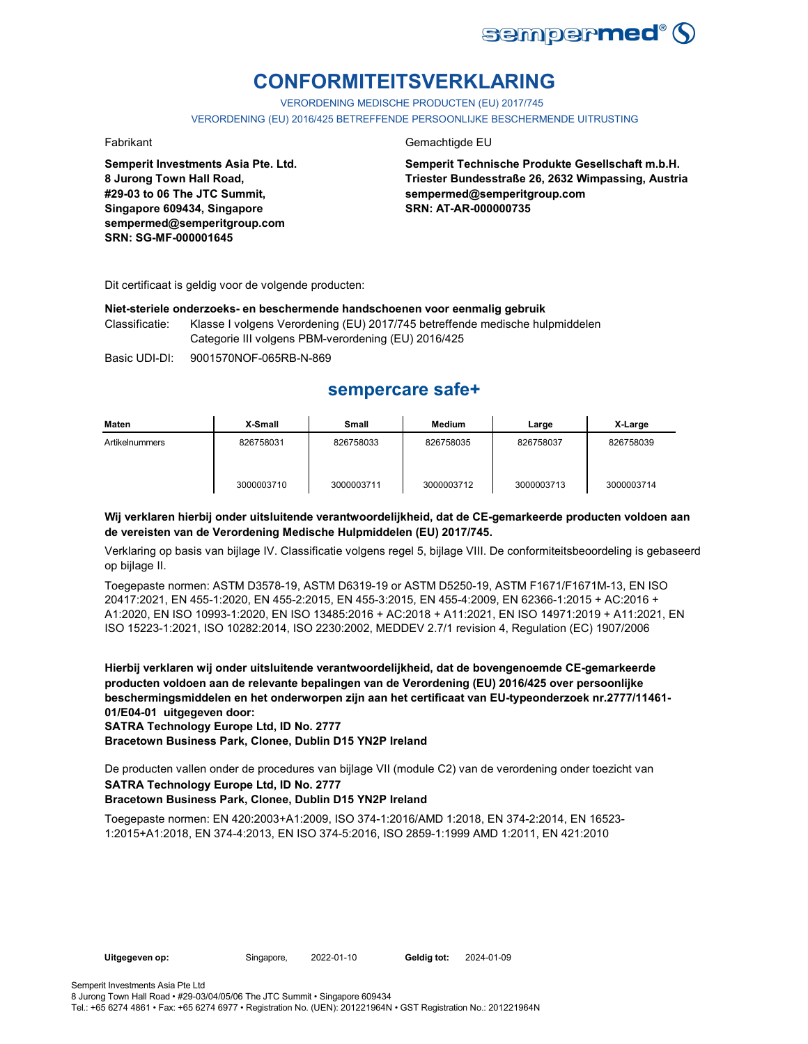

# **CONFORMITEITSVERKLARING**

VERORDENING MEDISCHE PRODUCTEN (EU) 2017/745 VERORDENING (EU) 2016/425 BETREFFENDE PERSOONLIJKE BESCHERMENDE UITRUSTING

**Semperit Investments Asia Pte. Ltd. 8 Jurong Town Hall Road, #29-03 to 06 The JTC Summit, Singapore 609434, Singapore sempermed@semperitgroup.com SRN: SG-MF-000001645**

### Fabrikant Gemachtigde EU

**Semperit Technische Produkte Gesellschaft m.b.H. Triester Bundesstraße 26, 2632 Wimpassing, Austria sempermed@semperitgroup.com SRN: AT-AR-000000735**

Dit certificaat is geldig voor de volgende producten:

#### **Niet-steriele onderzoeks- en beschermende handschoenen voor eenmalig gebruik**

Classificatie: Klasse I volgens Verordening (EU) 2017/745 betreffende medische hulpmiddelen Categorie III volgens PBM-verordening (EU) 2016/425

Basic UDI-DI: 9001570NOF-065RB-N-869

## **sempercare safe+**

| Maten          | X-Small    | Small      | <b>Medium</b> | Large      | X-Large    |
|----------------|------------|------------|---------------|------------|------------|
| Artikelnummers | 826758031  | 826758033  | 826758035     | 826758037  | 826758039  |
|                | 3000003710 | 3000003711 | 3000003712    | 3000003713 | 3000003714 |

#### **Wij verklaren hierbij onder uitsluitende verantwoordelijkheid, dat de CE-gemarkeerde producten voldoen aan de vereisten van de Verordening Medische Hulpmiddelen (EU) 2017/745.**

Verklaring op basis van bijlage IV. Classificatie volgens regel 5, bijlage VIII. De conformiteitsbeoordeling is gebaseerd op bijlage II.

Toegepaste normen: ASTM D3578-19, ASTM D6319-19 or ASTM D5250-19, ASTM F1671/F1671M-13, EN ISO 20417:2021, EN 455-1:2020, EN 455-2:2015, EN 455-3:2015, EN 455-4:2009, EN 62366-1:2015 + AC:2016 + A1:2020, EN ISO 10993-1:2020, EN ISO 13485:2016 + AC:2018 + A11:2021, EN ISO 14971:2019 + A11:2021, EN ISO 15223-1:2021, ISO 10282:2014, ISO 2230:2002, MEDDEV 2.7/1 revision 4, Regulation (EC) 1907/2006

**Hierbij verklaren wij onder uitsluitende verantwoordelijkheid, dat de bovengenoemde CE-gemarkeerde producten voldoen aan de relevante bepalingen van de Verordening (EU) 2016/425 over persoonlijke beschermingsmiddelen en het onderworpen zijn aan het certificaat van EU-typeonderzoek nr.2777/11461- 01/E04-01 uitgegeven door:**

**SATRA Technology Europe Ltd, ID No. 2777**

**Bracetown Business Park, Clonee, Dublin D15 YN2P Ireland**

De producten vallen onder de procedures van bijlage VII (module C2) van de verordening onder toezicht van

## **SATRA Technology Europe Ltd, ID No. 2777**

### **Bracetown Business Park, Clonee, Dublin D15 YN2P Ireland**

Toegepaste normen: EN 420:2003+A1:2009, ISO 374-1:2016/AMD 1:2018, EN 374-2:2014, EN 16523- 1:2015+A1:2018, EN 374-4:2013, EN ISO 374-5:2016, ISO 2859-1:1999 AMD 1:2011, EN 421:2010

**Uitgegeven op:** Singapore, 2022-01-10 **Geldig tot:** 2024-01-09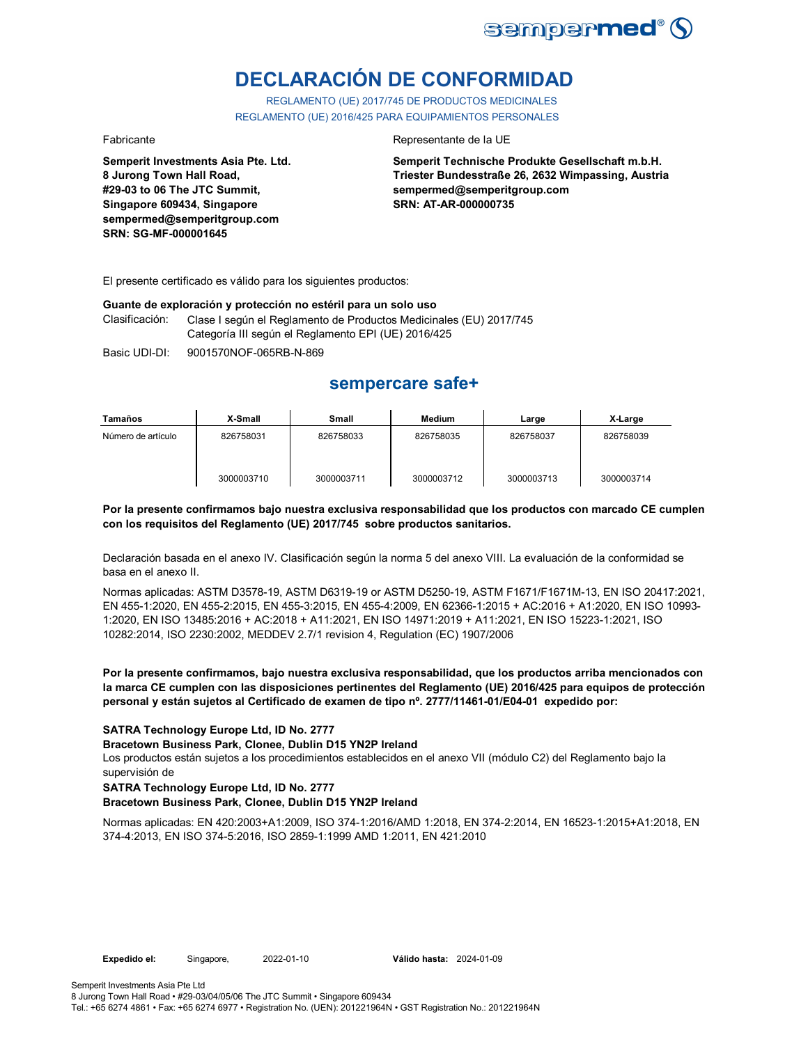

# **DECLARACIÓN DE CONFORMIDAD**

REGLAMENTO (UE) 2017/745 DE PRODUCTOS MEDICINALES REGLAMENTO (UE) 2016/425 PARA EQUIPAMIENTOS PERSONALES

**Semperit Investments Asia Pte. Ltd. 8 Jurong Town Hall Road, #29-03 to 06 The JTC Summit, Singapore 609434, Singapore sempermed@semperitgroup.com SRN: SG-MF-000001645**

#### Fabricante **Representante de la UE**

**Semperit Technische Produkte Gesellschaft m.b.H. Triester Bundesstraße 26, 2632 Wimpassing, Austria sempermed@semperitgroup.com SRN: AT-AR-000000735**

El presente certificado es válido para los siguientes productos:

#### **Guante de exploración y protección no estéril para un solo uso**

Clasificación: Clase I según el Reglamento de Productos Medicinales (EU) 2017/745 Categoría III según el Reglamento EPI (UE) 2016/425

Basic UDI-DI: 9001570NOF-065RB-N-869

## **sempercare safe+**

| Tamaños            | X-Small    | Small      | <b>Medium</b> | Large      | X-Large    |
|--------------------|------------|------------|---------------|------------|------------|
| Número de artículo | 826758031  | 826758033  | 826758035     | 826758037  | 826758039  |
|                    | 3000003710 | 3000003711 | 3000003712    | 3000003713 | 3000003714 |

#### **Por la presente confirmamos bajo nuestra exclusiva responsabilidad que los productos con marcado CE cumplen con los requisitos del Reglamento (UE) 2017/745 sobre productos sanitarios.**

Declaración basada en el anexo IV. Clasificación según la norma 5 del anexo VIII. La evaluación de la conformidad se basa en el anexo II.

Normas aplicadas: ASTM D3578-19, ASTM D6319-19 or ASTM D5250-19, ASTM F1671/F1671M-13, EN ISO 20417:2021, EN 455-1:2020, EN 455-2:2015, EN 455-3:2015, EN 455-4:2009, EN 62366-1:2015 + AC:2016 + A1:2020, EN ISO 10993- 1:2020, EN ISO 13485:2016 + AC:2018 + A11:2021, EN ISO 14971:2019 + A11:2021, EN ISO 15223-1:2021, ISO 10282:2014, ISO 2230:2002, MEDDEV 2.7/1 revision 4, Regulation (EC) 1907/2006

**Por la presente confirmamos, bajo nuestra exclusiva responsabilidad, que los productos arriba mencionados con la marca CE cumplen con las disposiciones pertinentes del Reglamento (UE) 2016/425 para equipos de protección personal y están sujetos al Certificado de examen de tipo nº. 2777/11461-01/E04-01 expedido por:**

#### **SATRA Technology Europe Ltd, ID No. 2777**

**Bracetown Business Park, Clonee, Dublin D15 YN2P Ireland**

Los productos están sujetos a los procedimientos establecidos en el anexo VII (módulo C2) del Reglamento bajo la supervisión de

### **SATRA Technology Europe Ltd, ID No. 2777**

#### **Bracetown Business Park, Clonee, Dublin D15 YN2P Ireland**

Normas aplicadas: EN 420:2003+A1:2009, ISO 374-1:2016/AMD 1:2018, EN 374-2:2014, EN 16523-1:2015+A1:2018, EN 374-4:2013, EN ISO 374-5:2016, ISO 2859-1:1999 AMD 1:2011, EN 421:2010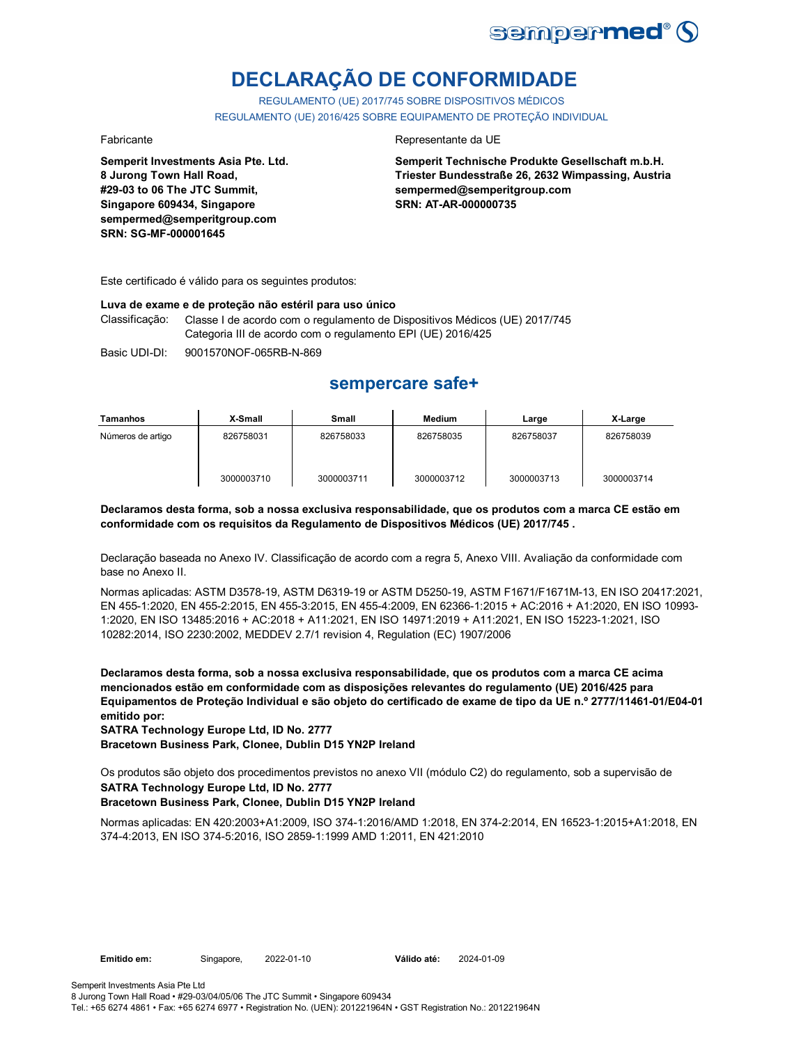

# **DECLARAÇÃO DE CONFORMIDADE**

REGULAMENTO (UE) 2017/745 SOBRE DISPOSITIVOS MÉDICOS REGULAMENTO (UE) 2016/425 SOBRE EQUIPAMENTO DE PROTEÇÃO INDIVIDUAL

**Semperit Investments Asia Pte. Ltd. 8 Jurong Town Hall Road, #29-03 to 06 The JTC Summit, Singapore 609434, Singapore sempermed@semperitgroup.com SRN: SG-MF-000001645**

#### Fabricante da UE

**Semperit Technische Produkte Gesellschaft m.b.H. Triester Bundesstraße 26, 2632 Wimpassing, Austria sempermed@semperitgroup.com SRN: AT-AR-000000735**

Este certificado é válido para os seguintes produtos:

#### **Luva de exame e de proteção não estéril para uso único**

Classificação: Classe I de acordo com o regulamento de Dispositivos Médicos (UE) 2017/745 Categoria III de acordo com o regulamento EPI (UE) 2016/425

Basic UDI-DI: 9001570NOF-065RB-N-869

## **sempercare safe+**

| Tamanhos          | X-Small    | Small      | Medium     | Large      | X-Large    |
|-------------------|------------|------------|------------|------------|------------|
| Números de artigo | 826758031  | 826758033  | 826758035  | 826758037  | 826758039  |
|                   | 3000003710 | 3000003711 | 3000003712 | 3000003713 | 3000003714 |

#### **Declaramos desta forma, sob a nossa exclusiva responsabilidade, que os produtos com a marca CE estão em conformidade com os requisitos da Regulamento de Dispositivos Médicos (UE) 2017/745 .**

Declaração baseada no Anexo IV. Classificação de acordo com a regra 5, Anexo VIII. Avaliação da conformidade com base no Anexo II.

Normas aplicadas: ASTM D3578-19, ASTM D6319-19 or ASTM D5250-19, ASTM F1671/F1671M-13, EN ISO 20417:2021, EN 455-1:2020, EN 455-2:2015, EN 455-3:2015, EN 455-4:2009, EN 62366-1:2015 + AC:2016 + A1:2020, EN ISO 10993- 1:2020, EN ISO 13485:2016 + AC:2018 + A11:2021, EN ISO 14971:2019 + A11:2021, EN ISO 15223-1:2021, ISO 10282:2014, ISO 2230:2002, MEDDEV 2.7/1 revision 4, Regulation (EC) 1907/2006

**Declaramos desta forma, sob a nossa exclusiva responsabilidade, que os produtos com a marca CE acima mencionados estão em conformidade com as disposições relevantes do regulamento (UE) 2016/425 para Equipamentos de Proteção Individual e são objeto do certificado de exame de tipo da UE n.º 2777/11461-01/E04-01 emitido por:**

**SATRA Technology Europe Ltd, ID No. 2777**

**Bracetown Business Park, Clonee, Dublin D15 YN2P Ireland**

Os produtos são objeto dos procedimentos previstos no anexo VII (módulo C2) do regulamento, sob a supervisão de

### **SATRA Technology Europe Ltd, ID No. 2777**

### **Bracetown Business Park, Clonee, Dublin D15 YN2P Ireland**

Normas aplicadas: EN 420:2003+A1:2009, ISO 374-1:2016/AMD 1:2018, EN 374-2:2014, EN 16523-1:2015+A1:2018, EN 374-4:2013, EN ISO 374-5:2016, ISO 2859-1:1999 AMD 1:2011, EN 421:2010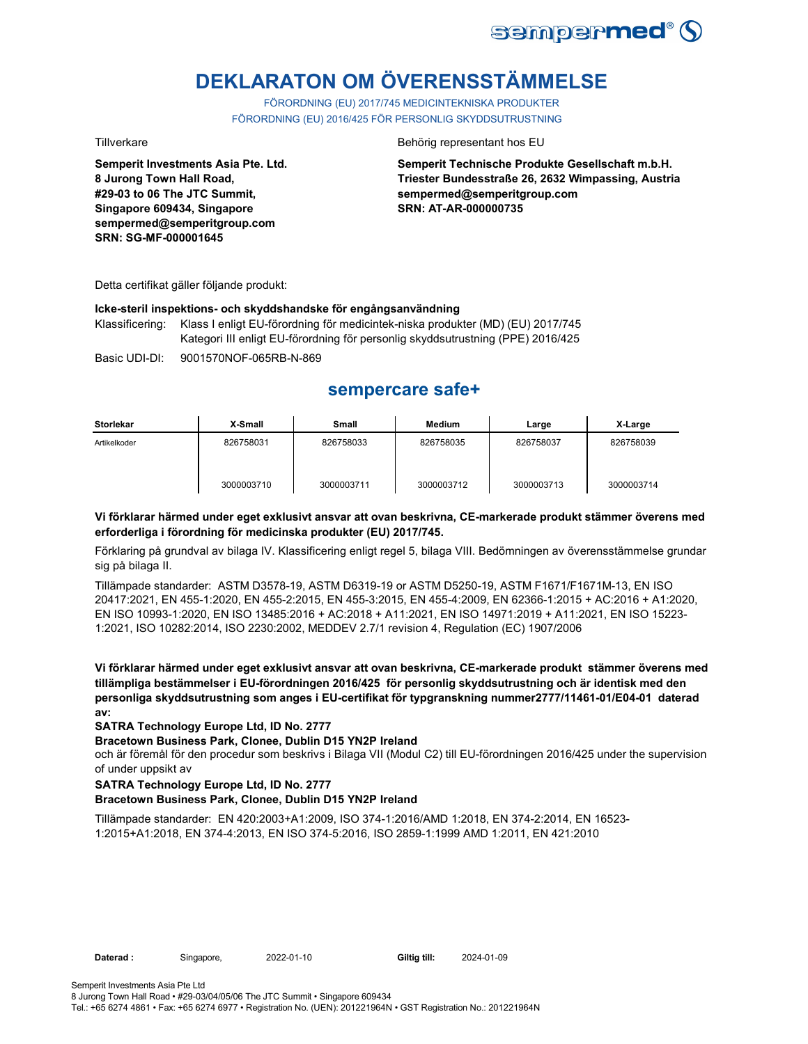

# **DEKLARATON OM ÖVERENSSTÄMMELSE**

FÖRORDNING (EU) 2017/745 MEDICINTEKNISKA PRODUKTER FÖRORDNING (EU) 2016/425 FÖR PERSONLIG SKYDDSUTRUSTNING

**Semperit Investments Asia Pte. Ltd. 8 Jurong Town Hall Road, #29-03 to 06 The JTC Summit, Singapore 609434, Singapore sempermed@semperitgroup.com SRN: SG-MF-000001645**

#### Tillverkare Behörig representant hos EU

**Semperit Technische Produkte Gesellschaft m.b.H. Triester Bundesstraße 26, 2632 Wimpassing, Austria sempermed@semperitgroup.com SRN: AT-AR-000000735**

Detta certifikat gäller följande produkt:

#### **Icke-steril inspektions- och skyddshandske för engångsanvändning**

Klassificering: Klass I enligt EU-förordning för medicintek-niska produkter (MD) (EU) 2017/745 Kategori III enligt EU-förordning för personlig skyddsutrustning (PPE) 2016/425

Basic UDI-DI: 9001570NOF-065RB-N-869

## **sempercare safe+**

| <b>Storlekar</b> | X-Small    | Small      | <b>Medium</b> | Large      | X-Large    |
|------------------|------------|------------|---------------|------------|------------|
| Artikelkoder     | 826758031  | 826758033  | 826758035     | 826758037  | 826758039  |
|                  | 3000003710 | 3000003711 | 3000003712    | 3000003713 | 3000003714 |

### **Vi förklarar härmed under eget exklusivt ansvar att ovan beskrivna, CE-markerade produkt stämmer överens med erforderliga i förordning för medicinska produkter (EU) 2017/745.**

Förklaring på grundval av bilaga IV. Klassificering enligt regel 5, bilaga VIII. Bedömningen av överensstämmelse grundar sig på bilaga II.

Tillämpade standarder: ASTM D3578-19, ASTM D6319-19 or ASTM D5250-19, ASTM F1671/F1671M-13, EN ISO 20417:2021, EN 455-1:2020, EN 455-2:2015, EN 455-3:2015, EN 455-4:2009, EN 62366-1:2015 + AC:2016 + A1:2020, EN ISO 10993-1:2020, EN ISO 13485:2016 + AC:2018 + A11:2021, EN ISO 14971:2019 + A11:2021, EN ISO 15223- 1:2021, ISO 10282:2014, ISO 2230:2002, MEDDEV 2.7/1 revision 4, Regulation (EC) 1907/2006

**Vi förklarar härmed under eget exklusivt ansvar att ovan beskrivna, CE-markerade produkt stämmer överens med tillämpliga bestämmelser i EU-förordningen 2016/425 för personlig skyddsutrustning och är identisk med den personliga skyddsutrustning som anges i EU-certifikat för typgranskning nummer2777/11461-01/E04-01 daterad av:**

### **SATRA Technology Europe Ltd, ID No. 2777**

#### **Bracetown Business Park, Clonee, Dublin D15 YN2P Ireland**

och är föremål för den procedur som beskrivs i Bilaga VII (Modul C2) till EU-förordningen 2016/425 under the supervision of under uppsikt av

### **SATRA Technology Europe Ltd, ID No. 2777**

### **Bracetown Business Park, Clonee, Dublin D15 YN2P Ireland**

Tillämpade standarder: EN 420:2003+A1:2009, ISO 374-1:2016/AMD 1:2018, EN 374-2:2014, EN 16523- 1:2015+A1:2018, EN 374-4:2013, EN ISO 374-5:2016, ISO 2859-1:1999 AMD 1:2011, EN 421:2010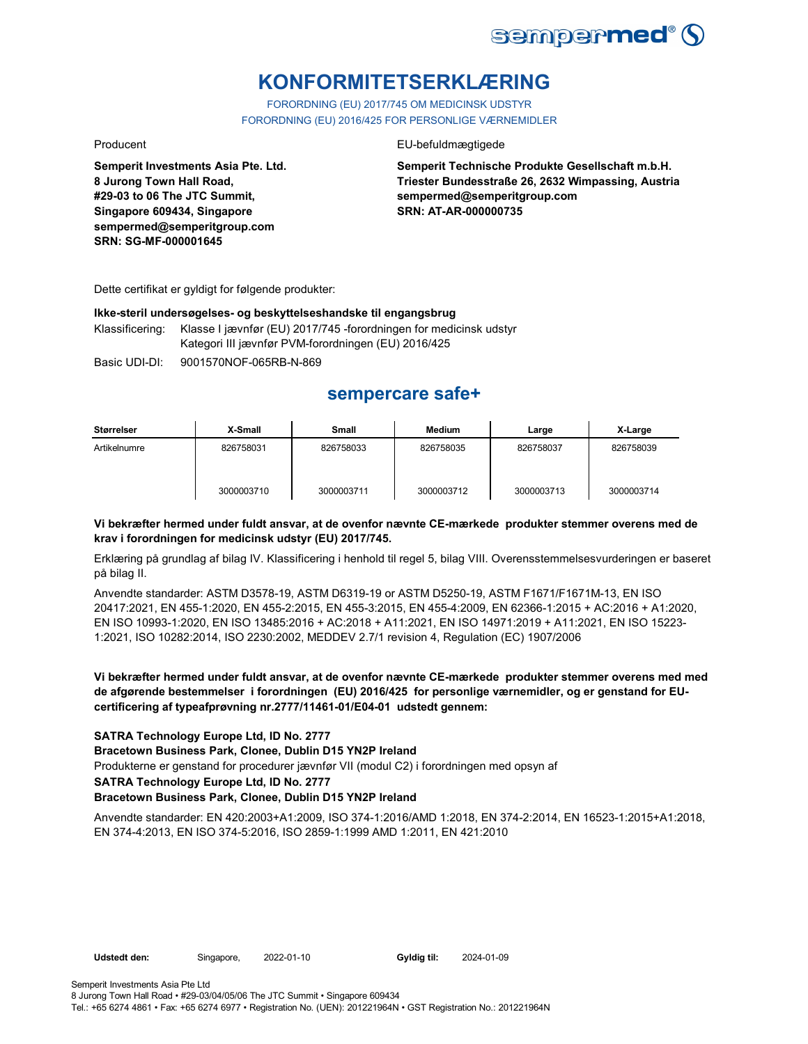

# **KONFORMITETSERKLÆRING**

FORORDNING (EU) 2017/745 OM MEDICINSK UDSTYR FORORDNING (EU) 2016/425 FOR PERSONLIGE VÆRNEMIDLER

#### Producent **EU-befuldmægtigede**

**Semperit Technische Produkte Gesellschaft m.b.H. Triester Bundesstraße 26, 2632 Wimpassing, Austria sempermed@semperitgroup.com SRN: AT-AR-000000735**

Dette certifikat er gyldigt for følgende produkter:

**Semperit Investments Asia Pte. Ltd.**

**8 Jurong Town Hall Road, #29-03 to 06 The JTC Summit, Singapore 609434, Singapore sempermed@semperitgroup.com**

**SRN: SG-MF-000001645**

#### **Ikke-steril undersøgelses- og beskyttelseshandske til engangsbrug**

Klassificering: Klasse I jævnfør (EU) 2017/745 -forordningen for medicinsk udstyr Kategori III jævnfør PVM-forordningen (EU) 2016/425

Basic UDI-DI: 9001570NOF-065RB-N-869

## **sempercare safe+**

| Størrelser   | X-Small    | Small      | <b>Medium</b> | Large      | X-Large    |
|--------------|------------|------------|---------------|------------|------------|
| Artikelnumre | 826758031  | 826758033  | 826758035     | 826758037  | 826758039  |
|              | 3000003710 | 3000003711 | 3000003712    | 3000003713 | 3000003714 |

### **Vi bekræfter hermed under fuldt ansvar, at de ovenfor nævnte CE-mærkede produkter stemmer overens med de krav i forordningen for medicinsk udstyr (EU) 2017/745.**

Erklæring på grundlag af bilag IV. Klassificering i henhold til regel 5, bilag VIII. Overensstemmelsesvurderingen er baseret på bilag II.

Anvendte standarder: ASTM D3578-19, ASTM D6319-19 or ASTM D5250-19, ASTM F1671/F1671M-13, EN ISO 20417:2021, EN 455-1:2020, EN 455-2:2015, EN 455-3:2015, EN 455-4:2009, EN 62366-1:2015 + AC:2016 + A1:2020, EN ISO 10993-1:2020, EN ISO 13485:2016 + AC:2018 + A11:2021, EN ISO 14971:2019 + A11:2021, EN ISO 15223- 1:2021, ISO 10282:2014, ISO 2230:2002, MEDDEV 2.7/1 revision 4, Regulation (EC) 1907/2006

### **Vi bekræfter hermed under fuldt ansvar, at de ovenfor nævnte CE-mærkede produkter stemmer overens med med de afgørende bestemmelser i forordningen (EU) 2016/425 for personlige værnemidler, og er genstand for EUcertificering af typeafprøvning nr.2777/11461-01/E04-01 udstedt gennem:**

### **SATRA Technology Europe Ltd, ID No. 2777**

**Bracetown Business Park, Clonee, Dublin D15 YN2P Ireland**

Produkterne er genstand for procedurer jævnfør VII (modul C2) i forordningen med opsyn af

**SATRA Technology Europe Ltd, ID No. 2777**

#### **Bracetown Business Park, Clonee, Dublin D15 YN2P Ireland**

Anvendte standarder: EN 420:2003+A1:2009, ISO 374-1:2016/AMD 1:2018, EN 374-2:2014, EN 16523-1:2015+A1:2018, EN 374-4:2013, EN ISO 374-5:2016, ISO 2859-1:1999 AMD 1:2011, EN 421:2010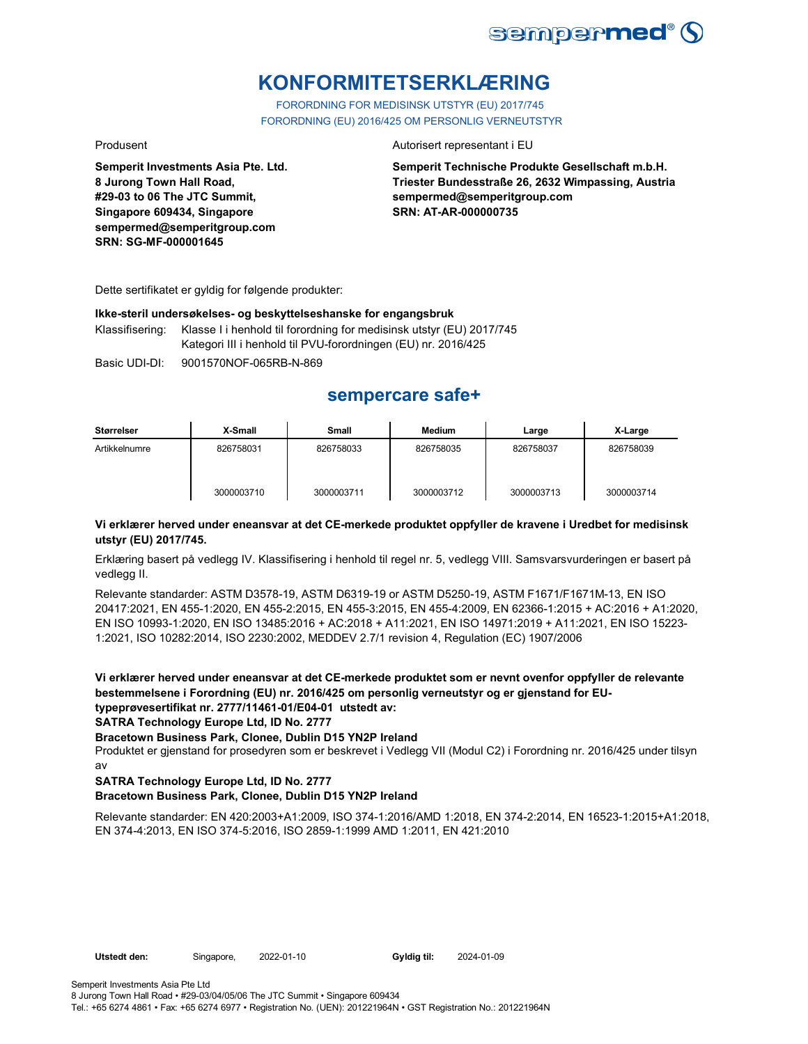

# **KONFORMITETSERKLÆRING**

FORORDNING FOR MEDISINSK UTSTYR (EU) 2017/745 FORORDNING (EU) 2016/425 OM PERSONLIG VERNEUTSTYR

**Semperit Investments Asia Pte. Ltd. 8 Jurong Town Hall Road, #29-03 to 06 The JTC Summit, Singapore 609434, Singapore sempermed@semperitgroup.com SRN: SG-MF-000001645**

#### Produsent **Autorisert representant i EU**

**Semperit Technische Produkte Gesellschaft m.b.H. Triester Bundesstraße 26, 2632 Wimpassing, Austria sempermed@semperitgroup.com SRN: AT-AR-000000735**

Dette sertifikatet er gyldig for følgende produkter:

#### **Ikke-steril undersøkelses- og beskyttelseshanske for engangsbruk**

Klassifisering: Klasse I i henhold til forordning for medisinsk utstyr (EU) 2017/745 Kategori III i henhold til PVU-forordningen (EU) nr. 2016/425

Basic UDI-DI: 9001570NOF-065RB-N-869

## **sempercare safe+**

| <b>Størrelser</b> | X-Small    | <b>Small</b> | <b>Medium</b> | Large      | X-Large    |
|-------------------|------------|--------------|---------------|------------|------------|
| Artikkelnumre     | 826758031  | 826758033    | 826758035     | 826758037  | 826758039  |
|                   | 3000003710 | 3000003711   | 3000003712    | 3000003713 | 3000003714 |

### **Vi erklærer herved under eneansvar at det CE-merkede produktet oppfyller de kravene i Uredbet for medisinsk utstyr (EU) 2017/745.**

Erklæring basert på vedlegg IV. Klassifisering i henhold til regel nr. 5, vedlegg VIII. Samsvarsvurderingen er basert på vedlegg II.

Relevante standarder: ASTM D3578-19, ASTM D6319-19 or ASTM D5250-19, ASTM F1671/F1671M-13, EN ISO 20417:2021, EN 455-1:2020, EN 455-2:2015, EN 455-3:2015, EN 455-4:2009, EN 62366-1:2015 + AC:2016 + A1:2020, EN ISO 10993-1:2020, EN ISO 13485:2016 + AC:2018 + A11:2021, EN ISO 14971:2019 + A11:2021, EN ISO 15223- 1:2021, ISO 10282:2014, ISO 2230:2002, MEDDEV 2.7/1 revision 4, Regulation (EC) 1907/2006

**Vi erklærer herved under eneansvar at det CE-merkede produktet som er nevnt ovenfor oppfyller de relevante bestemmelsene i Forordning (EU) nr. 2016/425 om personlig verneutstyr og er gjenstand for EUtypeprøvesertifikat nr. 2777/11461-01/E04-01 utstedt av:**

**SATRA Technology Europe Ltd, ID No. 2777**

#### **Bracetown Business Park, Clonee, Dublin D15 YN2P Ireland**

Produktet er gjenstand for prosedyren som er beskrevet i Vedlegg VII (Modul C2) i Forordning nr. 2016/425 under tilsyn av

### **SATRA Technology Europe Ltd, ID No. 2777**

### **Bracetown Business Park, Clonee, Dublin D15 YN2P Ireland**

Relevante standarder: EN 420:2003+A1:2009, ISO 374-1:2016/AMD 1:2018, EN 374-2:2014, EN 16523-1:2015+A1:2018, EN 374-4:2013, EN ISO 374-5:2016, ISO 2859-1:1999 AMD 1:2011, EN 421:2010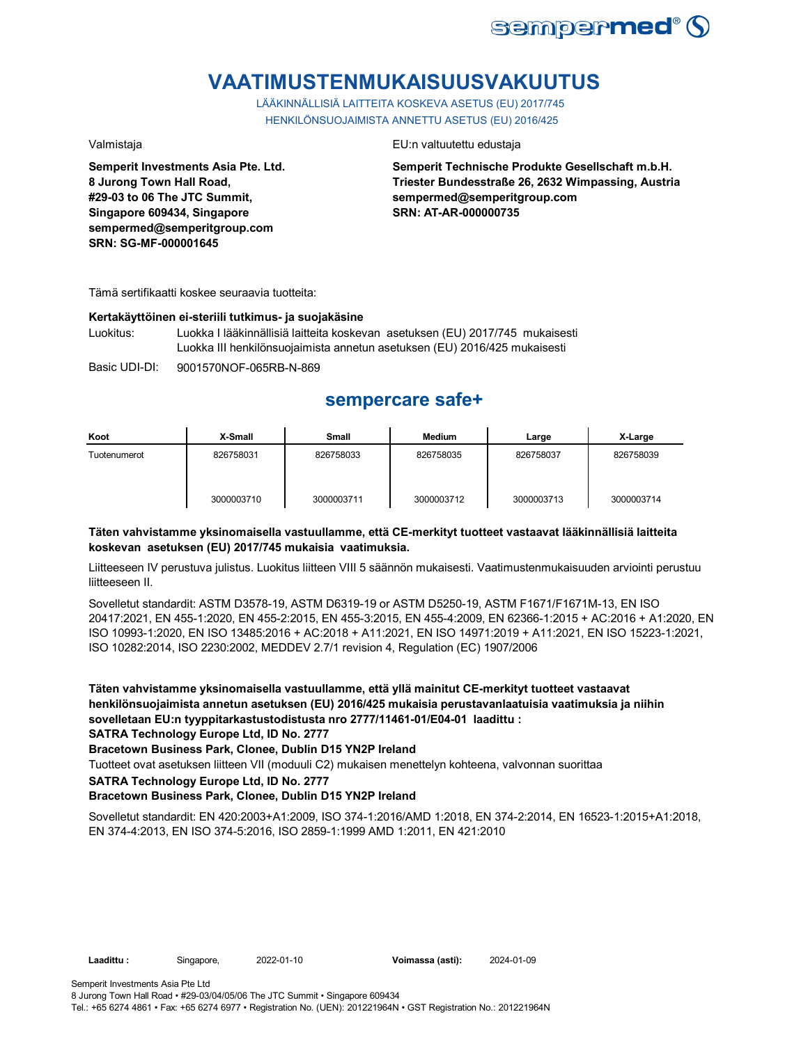

# **VAATIMUSTENMUKAISUUSVAKUUTUS**

LÄÄKINNÄLLISIÄ LAITTEITA KOSKEVA ASETUS (EU) 2017/745 HENKILÖNSUOJAIMISTA ANNETTU ASETUS (EU) 2016/425

**Semperit Investments Asia Pte. Ltd. 8 Jurong Town Hall Road, #29-03 to 06 The JTC Summit, Singapore 609434, Singapore sempermed@semperitgroup.com SRN: SG-MF-000001645**

#### Valmistaja EU:n valtuutettu edustaja

**Semperit Technische Produkte Gesellschaft m.b.H. Triester Bundesstraße 26, 2632 Wimpassing, Austria sempermed@semperitgroup.com SRN: AT-AR-000000735**

Tämä sertifikaatti koskee seuraavia tuotteita:

### **Kertakäyttöinen ei-steriili tutkimus- ja suojakäsine**

Luokitus: Luokka I lääkinnällisiä laitteita koskevan asetuksen (EU) 2017/745 mukaisesti Luokka III henkilönsuojaimista annetun asetuksen (EU) 2016/425 mukaisesti

Basic UDI-DI: 9001570NOF-065RB-N-869

## **sempercare safe+**

| Koot         | X-Small    | Small      | <b>Medium</b> | Large      | X-Large    |
|--------------|------------|------------|---------------|------------|------------|
| Tuotenumerot | 826758031  | 826758033  | 826758035     | 826758037  | 826758039  |
|              | 3000003710 | 3000003711 | 3000003712    | 3000003713 | 3000003714 |

### **Täten vahvistamme yksinomaisella vastuullamme, että CE-merkityt tuotteet vastaavat lääkinnällisiä laitteita koskevan asetuksen (EU) 2017/745 mukaisia vaatimuksia.**

Liitteeseen IV perustuva julistus. Luokitus liitteen VIII 5 säännön mukaisesti. Vaatimustenmukaisuuden arviointi perustuu liitteeseen II.

Sovelletut standardit: ASTM D3578-19, ASTM D6319-19 or ASTM D5250-19, ASTM F1671/F1671M-13, EN ISO 20417:2021, EN 455-1:2020, EN 455-2:2015, EN 455-3:2015, EN 455-4:2009, EN 62366-1:2015 + AC:2016 + A1:2020, EN ISO 10993-1:2020, EN ISO 13485:2016 + AC:2018 + A11:2021, EN ISO 14971:2019 + A11:2021, EN ISO 15223-1:2021, ISO 10282:2014, ISO 2230:2002, MEDDEV 2.7/1 revision 4, Regulation (EC) 1907/2006

**Täten vahvistamme yksinomaisella vastuullamme, että yllä mainitut CE-merkityt tuotteet vastaavat henkilönsuojaimista annetun asetuksen (EU) 2016/425 mukaisia perustavanlaatuisia vaatimuksia ja niihin sovelletaan EU:n tyyppitarkastustodistusta nro 2777/11461-01/E04-01 laadittu :**

**SATRA Technology Europe Ltd, ID No. 2777**

**Bracetown Business Park, Clonee, Dublin D15 YN2P Ireland**

Tuotteet ovat asetuksen liitteen VII (moduuli C2) mukaisen menettelyn kohteena, valvonnan suorittaa

**SATRA Technology Europe Ltd, ID No. 2777**

### **Bracetown Business Park, Clonee, Dublin D15 YN2P Ireland**

Sovelletut standardit: EN 420:2003+A1:2009, ISO 374-1:2016/AMD 1:2018, EN 374-2:2014, EN 16523-1:2015+A1:2018, EN 374-4:2013, EN ISO 374-5:2016, ISO 2859-1:1999 AMD 1:2011, EN 421:2010

Semperit Investments Asia Pte Ltd 8 Jurong Town Hall Road • #29-03/04/05/06 The JTC Summit • Singapore 609434 Tel.: +65 6274 4861 • Fax: +65 6274 6977 • Registration No. (UEN): 201221964N • GST Registration No.: 201221964N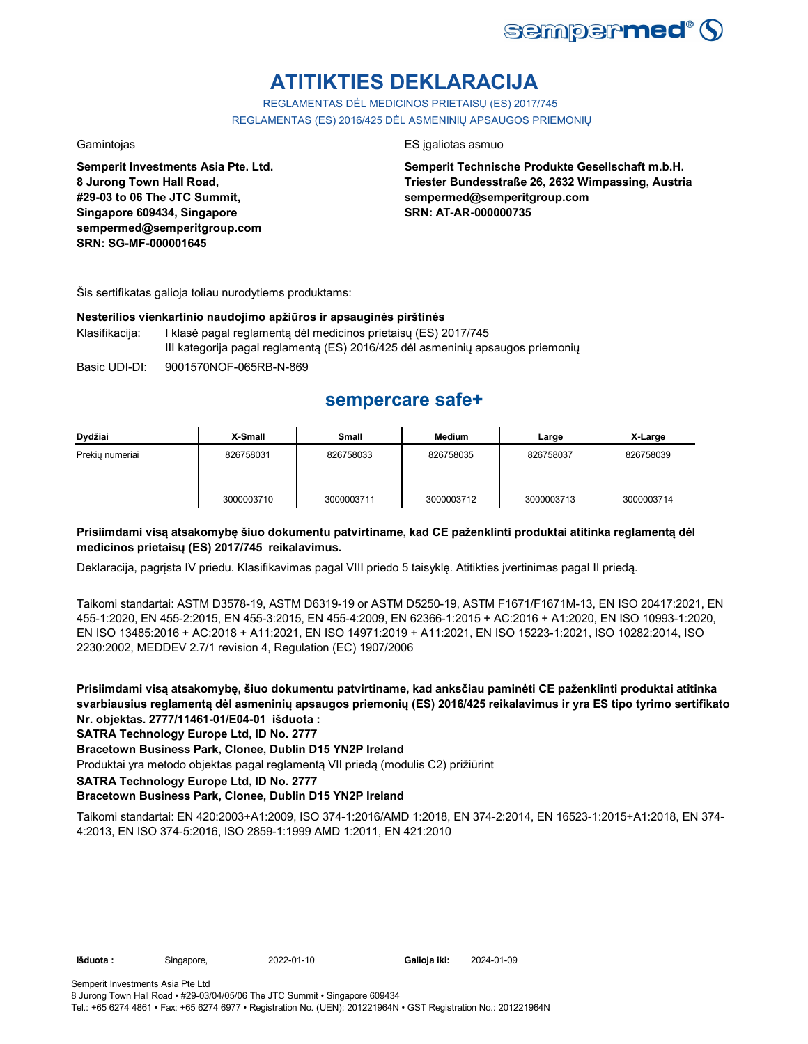

# **ATITIKTIES DEKLARACIJA**

REGLAMENTAS DĖL MEDICINOS PRIETAISŲ (ES) 2017/745 REGLAMENTAS (ES) 2016/425 DĖL ASMENINIŲ APSAUGOS PRIEMONIŲ

**Semperit Investments Asia Pte. Ltd. 8 Jurong Town Hall Road, #29-03 to 06 The JTC Summit, Singapore 609434, Singapore sempermed@semperitgroup.com SRN: SG-MF-000001645**

### Gamintojas ES įgaliotas asmuo

**Semperit Technische Produkte Gesellschaft m.b.H. Triester Bundesstraße 26, 2632 Wimpassing, Austria sempermed@semperitgroup.com SRN: AT-AR-000000735**

Šis sertifikatas galioja toliau nurodytiems produktams:

### **Nesterilios vienkartinio naudojimo apžiūros ir apsauginės pirštinės**

- Klasifikacija: I klasė pagal reglamentą dėl medicinos prietaisų (ES) 2017/745 III kategorija pagal reglamentą (ES) 2016/425 dėl asmeninių apsaugos priemonių
- Basic UDI-DI: 9001570NOF-065RB-N-869

## **sempercare safe+**

| Dydžiai         | X-Small    | Small      | <b>Medium</b> | Large      | X-Large    |
|-----------------|------------|------------|---------------|------------|------------|
| Prekiu numeriai | 826758031  | 826758033  | 826758035     | 826758037  | 826758039  |
|                 | 3000003710 | 3000003711 | 3000003712    | 3000003713 | 3000003714 |

### **Prisiimdami visą atsakomybę šiuo dokumentu patvirtiname, kad CE paženklinti produktai atitinka reglamentą dėl medicinos prietaisų (ES) 2017/745 reikalavimus.**

Deklaracija, pagrįsta IV priedu. Klasifikavimas pagal VIII priedo 5 taisyklę. Atitikties įvertinimas pagal II priedą.

Taikomi standartai: ASTM D3578-19, ASTM D6319-19 or ASTM D5250-19, ASTM F1671/F1671M-13, EN ISO 20417:2021, EN 455-1:2020, EN 455-2:2015, EN 455-3:2015, EN 455-4:2009, EN 62366-1:2015 + AC:2016 + A1:2020, EN ISO 10993-1:2020, EN ISO 13485:2016 + AC:2018 + A11:2021, EN ISO 14971:2019 + A11:2021, EN ISO 15223-1:2021, ISO 10282:2014, ISO 2230:2002, MEDDEV 2.7/1 revision 4, Regulation (EC) 1907/2006

**Prisiimdami visą atsakomybę, šiuo dokumentu patvirtiname, kad anksčiau paminėti CE paženklinti produktai atitinka svarbiausius reglamentą dėl asmeninių apsaugos priemonių (ES) 2016/425 reikalavimus ir yra ES tipo tyrimo sertifikato Nr. objektas. 2777/11461-01/E04-01 išduota :**

### **SATRA Technology Europe Ltd, ID No. 2777**

### **Bracetown Business Park, Clonee, Dublin D15 YN2P Ireland**

Produktai yra metodo objektas pagal reglamentą VII priedą (modulis C2) prižiūrint

**SATRA Technology Europe Ltd, ID No. 2777**

### **Bracetown Business Park, Clonee, Dublin D15 YN2P Ireland**

Taikomi standartai: EN 420:2003+A1:2009, ISO 374-1:2016/AMD 1:2018, EN 374-2:2014, EN 16523-1:2015+A1:2018, EN 374- 4:2013, EN ISO 374-5:2016, ISO 2859-1:1999 AMD 1:2011, EN 421:2010

**Išduota :** Singapore, 2022-01-10 **Galioja iki:** 2024-01-09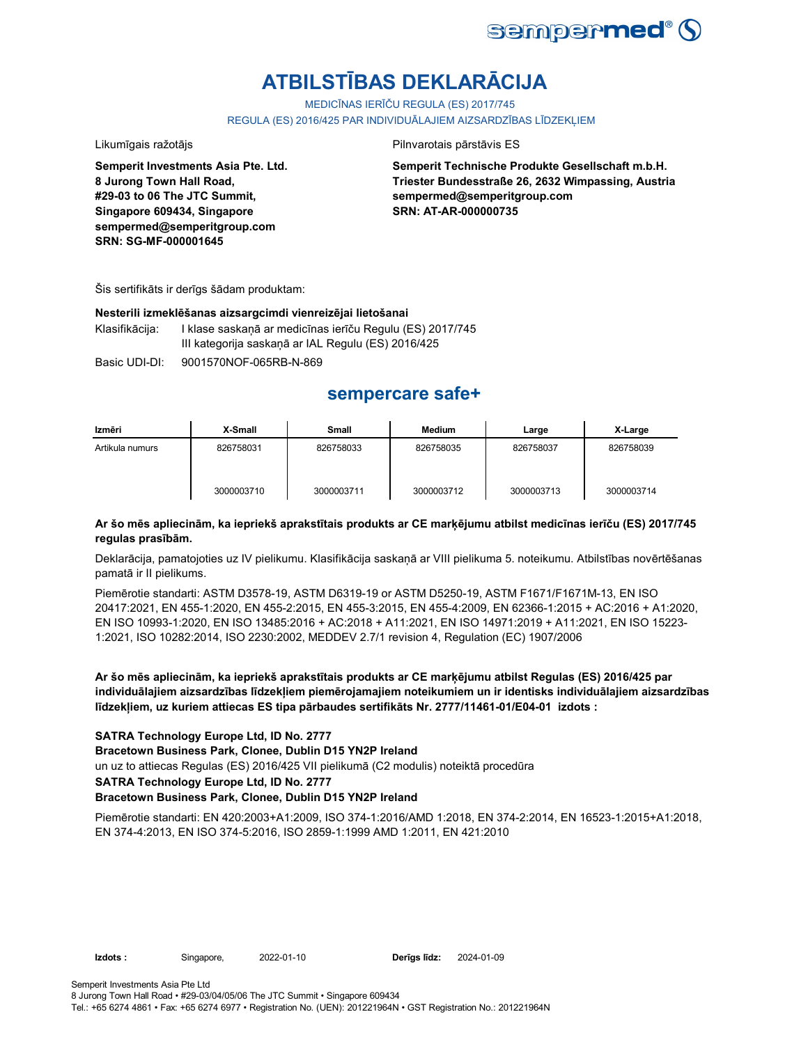

# **ATBILSTĪBAS DEKLARĀCIJA**

MEDICĪNAS IERĪČU REGULA (ES) 2017/745

REGULA (ES) 2016/425 PAR INDIVIDUĀLAJIEM AIZSARDZĪBAS LĪDZEKLIEM

**8 Jurong Town Hall Road, #29-03 to 06 The JTC Summit, Singapore 609434, Singapore sempermed@semperitgroup.com**

**SRN: SG-MF-000001645**

#### Likumīgais ražotājs **Pilnvarotais pārstāvis ES**

**Semperit Technische Produkte Gesellschaft m.b.H. Triester Bundesstraße 26, 2632 Wimpassing, Austria sempermed@semperitgroup.com SRN: AT-AR-000000735**

Šis sertifikāts ir derīgs šādam produktam:

**Semperit Investments Asia Pte. Ltd.**

#### **Nesterili izmeklēšanas aizsargcimdi vienreizējai lietošanai**

Klasifikācija: I klase saskaņā ar medicīnas ierīču Regulu (ES) 2017/745 III kategorija saskaņā ar IAL Regulu (ES) 2016/425

Basic UDI-DI: 9001570NOF-065RB-N-869

## **sempercare safe+**

| Izmēri          | X-Small    | Small      | Medium     | Large      | X-Large    |
|-----------------|------------|------------|------------|------------|------------|
| Artikula numurs | 826758031  | 826758033  | 826758035  | 826758037  | 826758039  |
|                 | 3000003710 | 3000003711 | 3000003712 | 3000003713 | 3000003714 |

### **Ar šo mēs apliecinām, ka iepriekš aprakstītais produkts ar CE marķējumu atbilst medicīnas ierīču (ES) 2017/745 regulas prasībām.**

Deklarācija, pamatojoties uz IV pielikumu. Klasifikācija saskaņā ar VIII pielikuma 5. noteikumu. Atbilstības novērtēšanas pamatā ir II pielikums.

Piemērotie standarti: ASTM D3578-19, ASTM D6319-19 or ASTM D5250-19, ASTM F1671/F1671M-13, EN ISO 20417:2021, EN 455-1:2020, EN 455-2:2015, EN 455-3:2015, EN 455-4:2009, EN 62366-1:2015 + AC:2016 + A1:2020, EN ISO 10993-1:2020, EN ISO 13485:2016 + AC:2018 + A11:2021, EN ISO 14971:2019 + A11:2021, EN ISO 15223- 1:2021, ISO 10282:2014, ISO 2230:2002, MEDDEV 2.7/1 revision 4, Regulation (EC) 1907/2006

**Ar šo mēs apliecinām, ka iepriekš aprakstītais produkts ar CE marķējumu atbilst Regulas (ES) 2016/425 par individuālajiem aizsardzības līdzekļiem piemērojamajiem noteikumiem un ir identisks individuālajiem aizsardzības līdzekļiem, uz kuriem attiecas ES tipa pārbaudes sertifikāts Nr. 2777/11461-01/E04-01 izdots :**

#### **SATRA Technology Europe Ltd, ID No. 2777**

**Bracetown Business Park, Clonee, Dublin D15 YN2P Ireland**

un uz to attiecas Regulas (ES) 2016/425 VII pielikumā (C2 modulis) noteiktā procedūra

**SATRA Technology Europe Ltd, ID No. 2777**

#### **Bracetown Business Park, Clonee, Dublin D15 YN2P Ireland**

Piemērotie standarti: EN 420:2003+A1:2009, ISO 374-1:2016/AMD 1:2018, EN 374-2:2014, EN 16523-1:2015+A1:2018, EN 374-4:2013, EN ISO 374-5:2016, ISO 2859-1:1999 AMD 1:2011, EN 421:2010

**Izdots :** Singapore, 2022-01-10 **Derīgs līdz:** 2024-01-09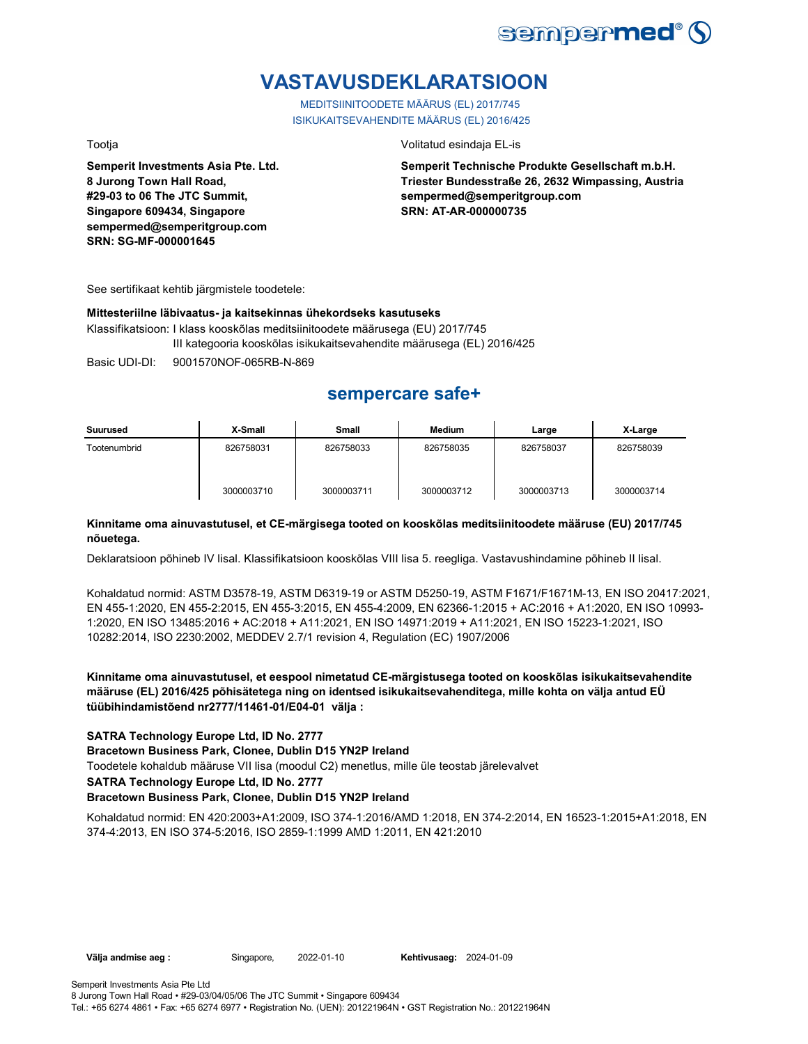

# **VASTAVUSDEKLARATSIOON**

MEDITSIINITOODETE MÄÄRUS (EL) 2017/745 ISIKUKAITSEVAHENDITE MÄÄRUS (EL) 2016/425

Tootja Volitatud esindaja EL-is

**Semperit Investments Asia Pte. Ltd. 8 Jurong Town Hall Road, #29-03 to 06 The JTC Summit, Singapore 609434, Singapore sempermed@semperitgroup.com SRN: SG-MF-000001645**

**Semperit Technische Produkte Gesellschaft m.b.H. Triester Bundesstraße 26, 2632 Wimpassing, Austria sempermed@semperitgroup.com SRN: AT-AR-000000735**

See sertifikaat kehtib järgmistele toodetele:

#### **Mittesteriilne läbivaatus- ja kaitsekinnas ühekordseks kasutuseks**

Klassifikatsioon: I klass kooskõlas meditsiinitoodete määrusega (EU) 2017/745 III kategooria kooskõlas isikukaitsevahendite määrusega (EL) 2016/425

Basic UDI-DI: 9001570NOF-065RB-N-869

## **sempercare safe+**

| Suurused     | X-Small    | <b>Small</b> | Medium     | Large      | X-Large    |
|--------------|------------|--------------|------------|------------|------------|
| Tootenumbrid | 826758031  | 826758033    | 826758035  | 826758037  | 826758039  |
|              | 3000003710 | 3000003711   | 3000003712 | 3000003713 | 3000003714 |

### **Kinnitame oma ainuvastutusel, et CE-märgisega tooted on kooskõlas meditsiinitoodete määruse (EU) 2017/745 nõuetega.**

Deklaratsioon põhineb IV lisal. Klassifikatsioon kooskõlas VIII lisa 5. reegliga. Vastavushindamine põhineb II lisal.

Kohaldatud normid: ASTM D3578-19, ASTM D6319-19 or ASTM D5250-19, ASTM F1671/F1671M-13, EN ISO 20417:2021, EN 455-1:2020, EN 455-2:2015, EN 455-3:2015, EN 455-4:2009, EN 62366-1:2015 + AC:2016 + A1:2020, EN ISO 10993- 1:2020, EN ISO 13485:2016 + AC:2018 + A11:2021, EN ISO 14971:2019 + A11:2021, EN ISO 15223-1:2021, ISO 10282:2014, ISO 2230:2002, MEDDEV 2.7/1 revision 4, Regulation (EC) 1907/2006

**Kinnitame oma ainuvastutusel, et eespool nimetatud CE-märgistusega tooted on kooskõlas isikukaitsevahendite määruse (EL) 2016/425 põhisätetega ning on identsed isikukaitsevahenditega, mille kohta on välja antud EÜ tüübihindamistõend nr2777/11461-01/E04-01 välja :**

### **SATRA Technology Europe Ltd, ID No. 2777**

**Bracetown Business Park, Clonee, Dublin D15 YN2P Ireland**

Toodetele kohaldub määruse VII lisa (moodul C2) menetlus, mille üle teostab järelevalvet

#### **SATRA Technology Europe Ltd, ID No. 2777**

### **Bracetown Business Park, Clonee, Dublin D15 YN2P Ireland**

Kohaldatud normid: EN 420:2003+A1:2009, ISO 374-1:2016/AMD 1:2018, EN 374-2:2014, EN 16523-1:2015+A1:2018, EN 374-4:2013, EN ISO 374-5:2016, ISO 2859-1:1999 AMD 1:2011, EN 421:2010

**Välja andmise aeg :** Singapore, 2022-01-10 **Kehtivusaeg:** 2024-01-09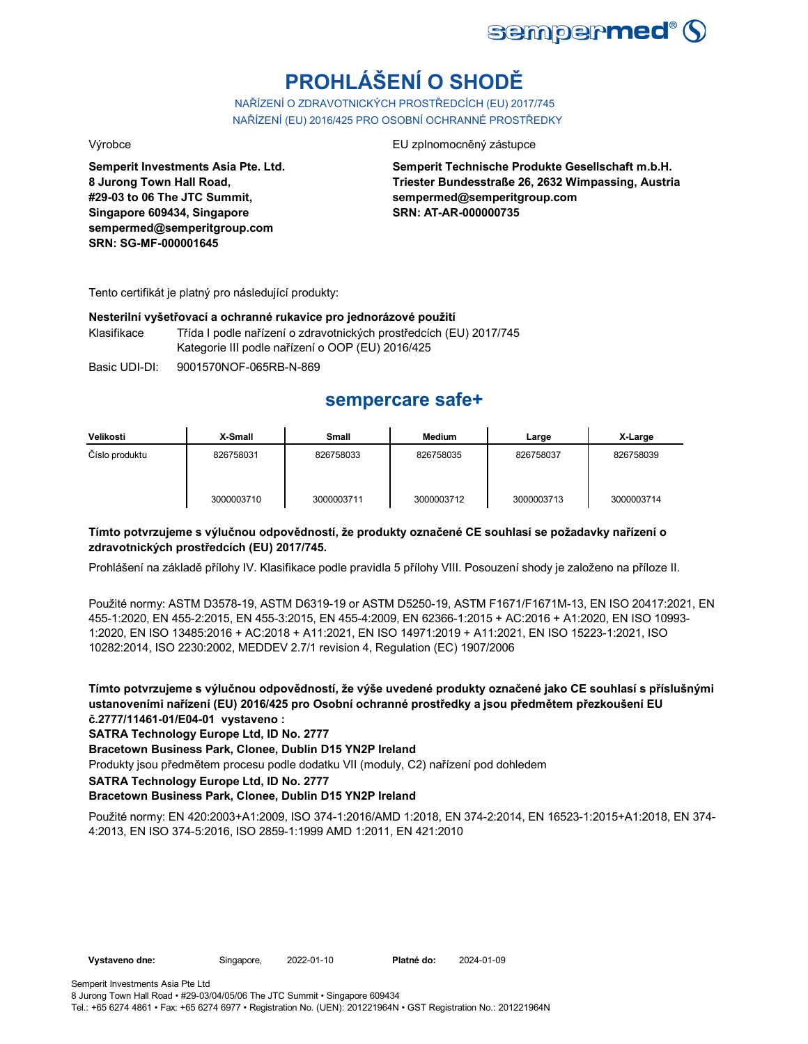

# **PROHLÁŠENÍ O SHODĚ**

NAŘÍZENÍ O ZDRAVOTNICKÝCH PROSTŘEDCÍCH (EU) 2017/745 NAŘÍZENÍ (EU) 2016/425 PRO OSOBNÍ OCHRANNÉ PROSTŘEDKY

**Semperit Investments Asia Pte. Ltd. 8 Jurong Town Hall Road, #29-03 to 06 The JTC Summit, Singapore 609434, Singapore sempermed@semperitgroup.com SRN: SG-MF-000001645**

#### Výrobce EU zplnomocněný zástupce

**Semperit Technische Produkte Gesellschaft m.b.H. Triester Bundesstraße 26, 2632 Wimpassing, Austria sempermed@semperitgroup.com SRN: AT-AR-000000735**

Tento certifikát je platný pro následující produkty:

#### **Nesterilní vyšetřovací a ochranné rukavice pro jednorázové použití**

Klasifikace Třída I podle nařízení o zdravotnických prostředcích (EU) 2017/745 Kategorie III podle nařízení o OOP (EU) 2016/425

Basic UDI-DI: 9001570NOF-065RB-N-869

## **sempercare safe+**

| Velikosti      | X-Small    | Small      | <b>Medium</b> | Large      | X-Large    |
|----------------|------------|------------|---------------|------------|------------|
| Číslo produktu | 826758031  | 826758033  | 826758035     | 826758037  | 826758039  |
|                | 3000003710 | 3000003711 | 3000003712    | 3000003713 | 3000003714 |

### **Tímto potvrzujeme s výlučnou odpovědností, že produkty označené CE souhlasí se požadavky nařízení o zdravotnických prostředcích (EU) 2017/745.**

Prohlášení na základě přílohy IV. Klasifikace podle pravidla 5 přílohy VIII. Posouzení shody je založeno na příloze II.

Použité normy: ASTM D3578-19, ASTM D6319-19 or ASTM D5250-19, ASTM F1671/F1671M-13, EN ISO 20417:2021, EN 455-1:2020, EN 455-2:2015, EN 455-3:2015, EN 455-4:2009, EN 62366-1:2015 + AC:2016 + A1:2020, EN ISO 10993- 1:2020, EN ISO 13485:2016 + AC:2018 + A11:2021, EN ISO 14971:2019 + A11:2021, EN ISO 15223-1:2021, ISO 10282:2014, ISO 2230:2002, MEDDEV 2.7/1 revision 4, Regulation (EC) 1907/2006

**Tímto potvrzujeme s výlučnou odpovědností, že výše uvedené produkty označené jako CE souhlasí s příslušnými ustanoveními nařízení (EU) 2016/425 pro Osobní ochranné prostředky a jsou předmětem přezkoušení EU č.2777/11461-01/E04-01 vystaveno :**

**SATRA Technology Europe Ltd, ID No. 2777**

**Bracetown Business Park, Clonee, Dublin D15 YN2P Ireland**

Produkty jsou předmětem procesu podle dodatku VII (moduly, C2) nařízení pod dohledem

**SATRA Technology Europe Ltd, ID No. 2777**

### **Bracetown Business Park, Clonee, Dublin D15 YN2P Ireland**

Použité normy: EN 420:2003+A1:2009, ISO 374-1:2016/AMD 1:2018, EN 374-2:2014, EN 16523-1:2015+A1:2018, EN 374- 4:2013, EN ISO 374-5:2016, ISO 2859-1:1999 AMD 1:2011, EN 421:2010

**Vystaveno dne:** Singapore, 2022-01-10 **Platné do:** 2024-01-09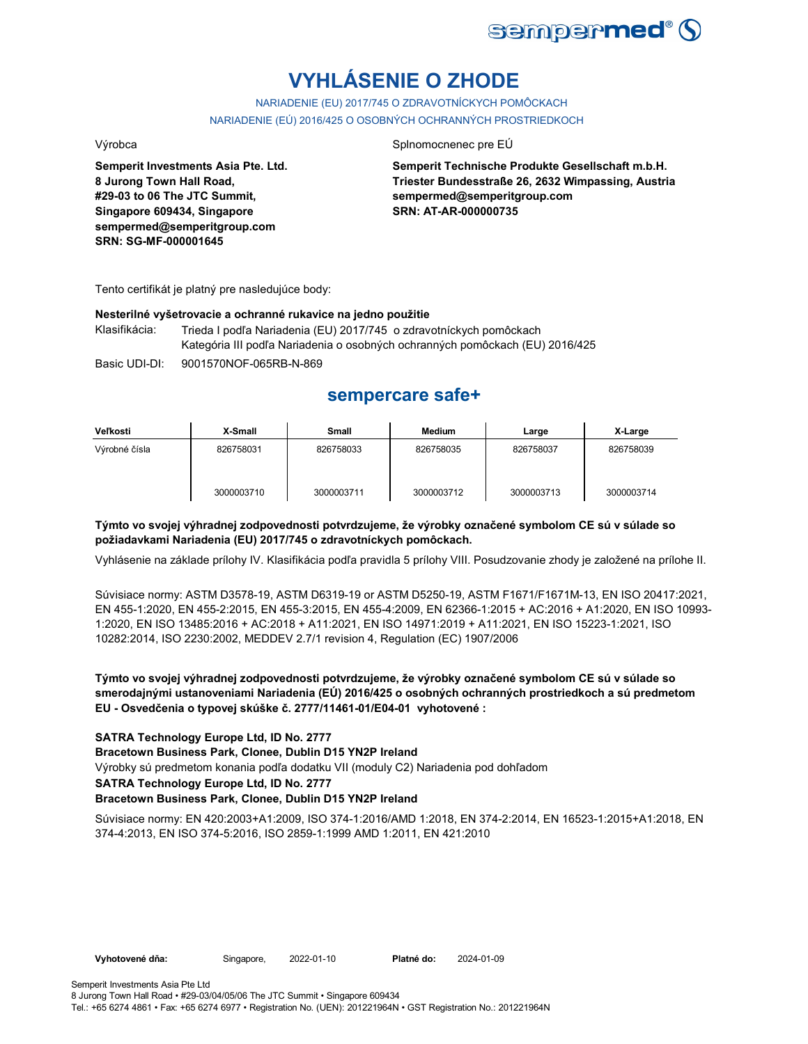

# **VYHLÁSENIE O ZHODE**

NARIADENIE (EU) 2017/745 O ZDRAVOTNÍCKYCH POMÔCKACH NARIADENIE (EÚ) 2016/425 O OSOBNÝCH OCHRANNÝCH PROSTRIEDKOCH

Výrobca Splnomocnenec pre EÚ

**Semperit Technische Produkte Gesellschaft m.b.H. Triester Bundesstraße 26, 2632 Wimpassing, Austria sempermed@semperitgroup.com SRN: AT-AR-000000735**

**sempermed@semperitgroup.com SRN: SG-MF-000001645**

**Semperit Investments Asia Pte. Ltd.**

**8 Jurong Town Hall Road, #29-03 to 06 The JTC Summit, Singapore 609434, Singapore**

Tento certifikát je platný pre nasledujúce body:

### **Nesterilné vyšetrovacie a ochranné rukavice na jedno použitie**

Basic UDI-DI: 9001570NOF-065RB-N-869 Klasifikácia: Trieda I podľa Nariadenia (EU) 2017/745 o zdravotníckych pomôckach Kategória III podľa Nariadenia o osobných ochranných pomôckach (EU) 2016/425

## **sempercare safe+**

| Veľkosti      | X-Small    | Small      | <b>Medium</b> | Large      | X-Large    |
|---------------|------------|------------|---------------|------------|------------|
| Výrobné čísla | 826758031  | 826758033  | 826758035     | 826758037  | 826758039  |
|               | 3000003710 | 3000003711 | 3000003712    | 3000003713 | 3000003714 |

### **Týmto vo svojej výhradnej zodpovednosti potvrdzujeme, že výrobky označené symbolom CE sú v súlade so požiadavkami Nariadenia (EU) 2017/745 o zdravotníckych pomôckach.**

Vyhlásenie na základe prílohy IV. Klasifikácia podľa pravidla 5 prílohy VIII. Posudzovanie zhody je založené na prílohe II.

Súvisiace normy: ASTM D3578-19, ASTM D6319-19 or ASTM D5250-19, ASTM F1671/F1671M-13, EN ISO 20417:2021, EN 455-1:2020, EN 455-2:2015, EN 455-3:2015, EN 455-4:2009, EN 62366-1:2015 + AC:2016 + A1:2020, EN ISO 10993- 1:2020, EN ISO 13485:2016 + AC:2018 + A11:2021, EN ISO 14971:2019 + A11:2021, EN ISO 15223-1:2021, ISO 10282:2014, ISO 2230:2002, MEDDEV 2.7/1 revision 4, Regulation (EC) 1907/2006

**Týmto vo svojej výhradnej zodpovednosti potvrdzujeme, že výrobky označené symbolom CE sú v súlade so smerodajnými ustanoveniami Nariadenia (EÚ) 2016/425 o osobných ochranných prostriedkoch a sú predmetom EU - Osvedčenia o typovej skúške č. 2777/11461-01/E04-01 vyhotovené :**

**SATRA Technology Europe Ltd, ID No. 2777**

**Bracetown Business Park, Clonee, Dublin D15 YN2P Ireland**

Výrobky sú predmetom konania podľa dodatku VII (moduly C2) Nariadenia pod dohľadom

**SATRA Technology Europe Ltd, ID No. 2777**

### **Bracetown Business Park, Clonee, Dublin D15 YN2P Ireland**

Súvisiace normy: EN 420:2003+A1:2009, ISO 374-1:2016/AMD 1:2018, EN 374-2:2014, EN 16523-1:2015+A1:2018, EN 374-4:2013, EN ISO 374-5:2016, ISO 2859-1:1999 AMD 1:2011, EN 421:2010

**Vyhotovené dňa:** Singapore, 2022-01-10 **Platné do:** 2024-01-09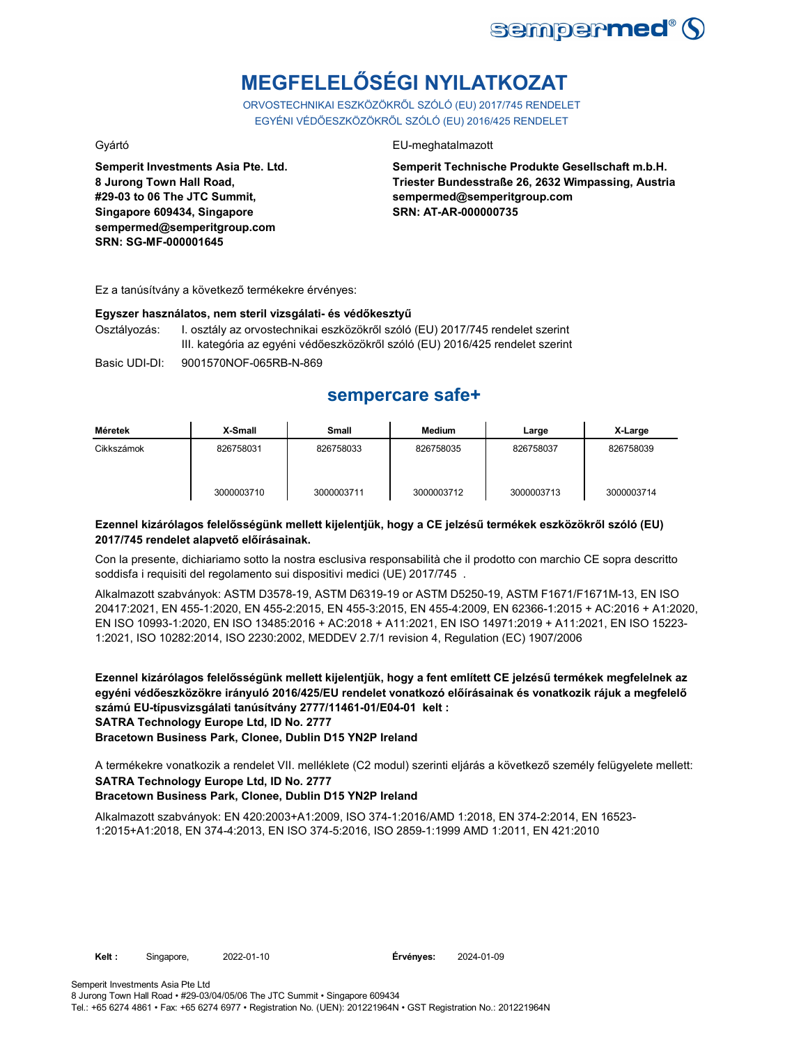

# **MEGFELELŐSÉGI NYILATKOZAT**

ORVOSTECHNIKAI ESZKÖZÖKRŐL SZÓLÓ (EU) 2017/745 RENDELET EGYÉNI VÉDŐESZKÖZÖKRŐL SZÓLÓ (EU) 2016/425 RENDELET

**Semperit Investments Asia Pte. Ltd. 8 Jurong Town Hall Road, #29-03 to 06 The JTC Summit, Singapore 609434, Singapore sempermed@semperitgroup.com SRN: SG-MF-000001645**

### Gyártó EU-meghatalmazott

**Semperit Technische Produkte Gesellschaft m.b.H. Triester Bundesstraße 26, 2632 Wimpassing, Austria sempermed@semperitgroup.com SRN: AT-AR-000000735**

Ez a tanúsítvány a következő termékekre érvényes:

#### **Egyszer használatos, nem steril vizsgálati- és védőkesztyű**

Osztályozás: I. osztály az orvostechnikai eszközökről szóló (EU) 2017/745 rendelet szerint III. kategória az egyéni védőeszközökről szóló (EU) 2016/425 rendelet szerint

Basic UDI-DI: 9001570NOF-065RB-N-869

## **sempercare safe+**

| Méretek    | X-Small    | <b>Small</b> | Medium     | Large      | X-Large    |
|------------|------------|--------------|------------|------------|------------|
| Cikkszámok | 826758031  | 826758033    | 826758035  | 826758037  | 826758039  |
|            | 3000003710 | 3000003711   | 3000003712 | 3000003713 | 3000003714 |

### **Ezennel kizárólagos felelősségünk mellett kijelentjük, hogy a CE jelzésű termékek eszközökről szóló (EU) 2017/745 rendelet alapvető előírásainak.**

Con la presente, dichiariamo sotto la nostra esclusiva responsabilità che il prodotto con marchio CE sopra descritto soddisfa i requisiti del regolamento sui dispositivi medici (UE) 2017/745 .

Alkalmazott szabványok: ASTM D3578-19, ASTM D6319-19 or ASTM D5250-19, ASTM F1671/F1671M-13, EN ISO 20417:2021, EN 455-1:2020, EN 455-2:2015, EN 455-3:2015, EN 455-4:2009, EN 62366-1:2015 + AC:2016 + A1:2020, EN ISO 10993-1:2020, EN ISO 13485:2016 + AC:2018 + A11:2021, EN ISO 14971:2019 + A11:2021, EN ISO 15223- 1:2021, ISO 10282:2014, ISO 2230:2002, MEDDEV 2.7/1 revision 4, Regulation (EC) 1907/2006

**Ezennel kizárólagos felelősségünk mellett kijelentjük, hogy a fent említett CE jelzésű termékek megfelelnek az egyéni védőeszközökre irányuló 2016/425/EU rendelet vonatkozó előírásainak és vonatkozik rájuk a megfelelő számú EU-típusvizsgálati tanúsítvány 2777/11461-01/E04-01 kelt : SATRA Technology Europe Ltd, ID No. 2777**

**Bracetown Business Park, Clonee, Dublin D15 YN2P Ireland**

**SATRA Technology Europe Ltd, ID No. 2777** A termékekre vonatkozik a rendelet VII. melléklete (C2 modul) szerinti eljárás a következő személy felügyelete mellett:

### **Bracetown Business Park, Clonee, Dublin D15 YN2P Ireland**

Alkalmazott szabványok: EN 420:2003+A1:2009, ISO 374-1:2016/AMD 1:2018, EN 374-2:2014, EN 16523- 1:2015+A1:2018, EN 374-4:2013, EN ISO 374-5:2016, ISO 2859-1:1999 AMD 1:2011, EN 421:2010

Semperit Investments Asia Pte Ltd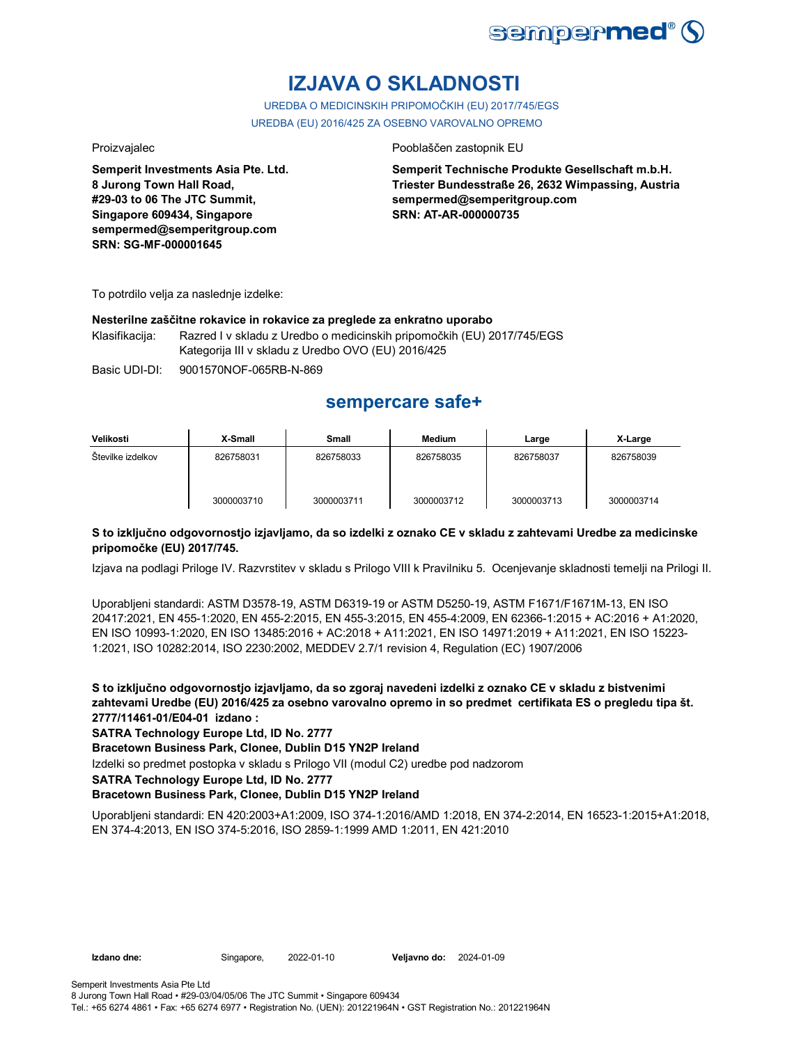

# **IZJAVA O SKLADNOSTI**

UREDBA O MEDICINSKIH PRIPOMOČKIH (EU) 2017/745/EGS UREDBA (EU) 2016/425 ZA OSEBNO VAROVALNO OPREMO

**Semperit Investments Asia Pte. Ltd. 8 Jurong Town Hall Road, #29-03 to 06 The JTC Summit, Singapore 609434, Singapore sempermed@semperitgroup.com SRN: SG-MF-000001645**

#### Proizvajalec **Proizvajalec** Pooblaščen zastopnik EU

**Semperit Technische Produkte Gesellschaft m.b.H. Triester Bundesstraße 26, 2632 Wimpassing, Austria sempermed@semperitgroup.com SRN: AT-AR-000000735**

To potrdilo velja za naslednje izdelke:

#### **Nesterilne zaščitne rokavice in rokavice za preglede za enkratno uporabo**

Klasifikacija: Razred I v skladu z Uredbo o medicinskih pripomočkih (EU) 2017/745/EGS Kategorija III v skladu z Uredbo OVO (EU) 2016/425

Basic UDI-DI: 9001570NOF-065RB-N-869

## **sempercare safe+**

| Velikosti         | X-Small    | Small      | <b>Medium</b> | Large      | X-Large    |
|-------------------|------------|------------|---------------|------------|------------|
| Stevilke izdelkov | 826758031  | 826758033  | 826758035     | 826758037  | 826758039  |
|                   | 3000003710 | 3000003711 | 3000003712    | 3000003713 | 3000003714 |

### **S to izključno odgovornostjo izjavljamo, da so izdelki z oznako CE v skladu z zahtevami Uredbe za medicinske pripomočke (EU) 2017/745.**

Izjava na podlagi Priloge IV. Razvrstitev v skladu s Prilogo VIII k Pravilniku 5. Ocenjevanje skladnosti temelji na Prilogi II.

Uporabljeni standardi: ASTM D3578-19, ASTM D6319-19 or ASTM D5250-19, ASTM F1671/F1671M-13, EN ISO 20417:2021, EN 455-1:2020, EN 455-2:2015, EN 455-3:2015, EN 455-4:2009, EN 62366-1:2015 + AC:2016 + A1:2020, EN ISO 10993-1:2020, EN ISO 13485:2016 + AC:2018 + A11:2021, EN ISO 14971:2019 + A11:2021, EN ISO 15223- 1:2021, ISO 10282:2014, ISO 2230:2002, MEDDEV 2.7/1 revision 4, Regulation (EC) 1907/2006

**S to izključno odgovornostjo izjavljamo, da so zgoraj navedeni izdelki z oznako CE v skladu z bistvenimi zahtevami Uredbe (EU) 2016/425 za osebno varovalno opremo in so predmet certifikata ES o pregledu tipa št. 2777/11461-01/E04-01 izdano :**

### **SATRA Technology Europe Ltd, ID No. 2777**

**Bracetown Business Park, Clonee, Dublin D15 YN2P Ireland**

Izdelki so predmet postopka v skladu s Prilogo VII (modul C2) uredbe pod nadzorom

#### **SATRA Technology Europe Ltd, ID No. 2777**

### **Bracetown Business Park, Clonee, Dublin D15 YN2P Ireland**

Uporabljeni standardi: EN 420:2003+A1:2009, ISO 374-1:2016/AMD 1:2018, EN 374-2:2014, EN 16523-1:2015+A1:2018, EN 374-4:2013, EN ISO 374-5:2016, ISO 2859-1:1999 AMD 1:2011, EN 421:2010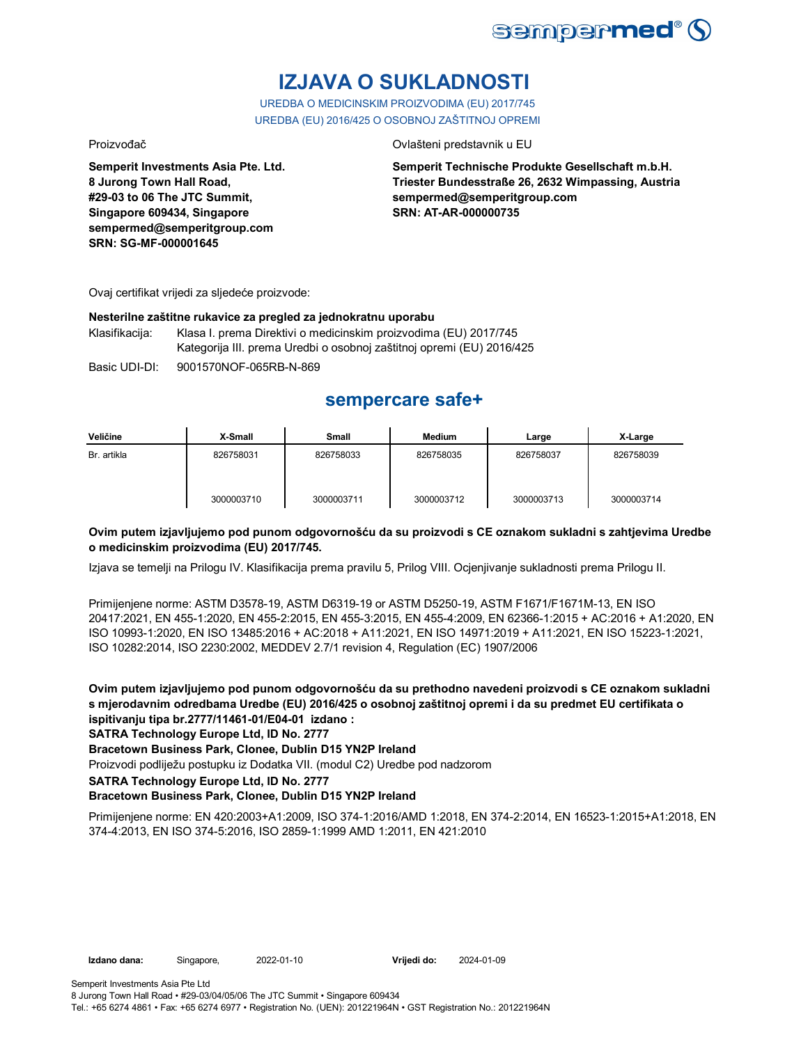

# **IZJAVA O SUKLADNOSTI**

UREDBA O MEDICINSKIM PROIZVODIMA (EU) 2017/745 UREDBA (EU) 2016/425 O OSOBNOJ ZAŠTITNOJ OPREMI

Proizvođač Ovlašteni predstavnik u EU

**Semperit Investments Asia Pte. Ltd. 8 Jurong Town Hall Road, #29-03 to 06 The JTC Summit, Singapore 609434, Singapore sempermed@semperitgroup.com SRN: SG-MF-000001645**

**Semperit Technische Produkte Gesellschaft m.b.H. Triester Bundesstraße 26, 2632 Wimpassing, Austria sempermed@semperitgroup.com SRN: AT-AR-000000735**

Ovaj certifikat vrijedi za sljedeće proizvode:

#### **Nesterilne zaštitne rukavice za pregled za jednokratnu uporabu**

Klasifikacija: Klasa I. prema Direktivi o medicinskim proizvodima (EU) 2017/745 Kategorija III. prema Uredbi o osobnoj zaštitnoj opremi (EU) 2016/425

Basic UDI-DI: 9001570NOF-065RB-N-869

## **sempercare safe+**

| Veličine    | X-Small    | Small      | <b>Medium</b> | Large      | X-Large    |
|-------------|------------|------------|---------------|------------|------------|
| Br. artikla | 826758031  | 826758033  | 826758035     | 826758037  | 826758039  |
|             | 3000003710 | 3000003711 | 3000003712    | 3000003713 | 3000003714 |

### **Ovim putem izjavljujemo pod punom odgovornošću da su proizvodi s CE oznakom sukladni s zahtjevima Uredbe o medicinskim proizvodima (EU) 2017/745.**

Izjava se temelji na Prilogu IV. Klasifikacija prema pravilu 5, Prilog VIII. Ocjenjivanje sukladnosti prema Prilogu II.

Primijenjene norme: ASTM D3578-19, ASTM D6319-19 or ASTM D5250-19, ASTM F1671/F1671M-13, EN ISO 20417:2021, EN 455-1:2020, EN 455-2:2015, EN 455-3:2015, EN 455-4:2009, EN 62366-1:2015 + AC:2016 + A1:2020, EN ISO 10993-1:2020, EN ISO 13485:2016 + AC:2018 + A11:2021, EN ISO 14971:2019 + A11:2021, EN ISO 15223-1:2021, ISO 10282:2014, ISO 2230:2002, MEDDEV 2.7/1 revision 4, Regulation (EC) 1907/2006

**Ovim putem izjavljujemo pod punom odgovornošću da su prethodno navedeni proizvodi s CE oznakom sukladni s mjerodavnim odredbama Uredbe (EU) 2016/425 o osobnoj zaštitnoj opremi i da su predmet EU certifikata o ispitivanju tipa br.2777/11461-01/E04-01 izdano :**

**SATRA Technology Europe Ltd, ID No. 2777**

### **Bracetown Business Park, Clonee, Dublin D15 YN2P Ireland**

Proizvodi podliježu postupku iz Dodatka VII. (modul C2) Uredbe pod nadzorom

**SATRA Technology Europe Ltd, ID No. 2777**

### **Bracetown Business Park, Clonee, Dublin D15 YN2P Ireland**

Primijenjene norme: EN 420:2003+A1:2009, ISO 374-1:2016/AMD 1:2018, EN 374-2:2014, EN 16523-1:2015+A1:2018, EN 374-4:2013, EN ISO 374-5:2016, ISO 2859-1:1999 AMD 1:2011, EN 421:2010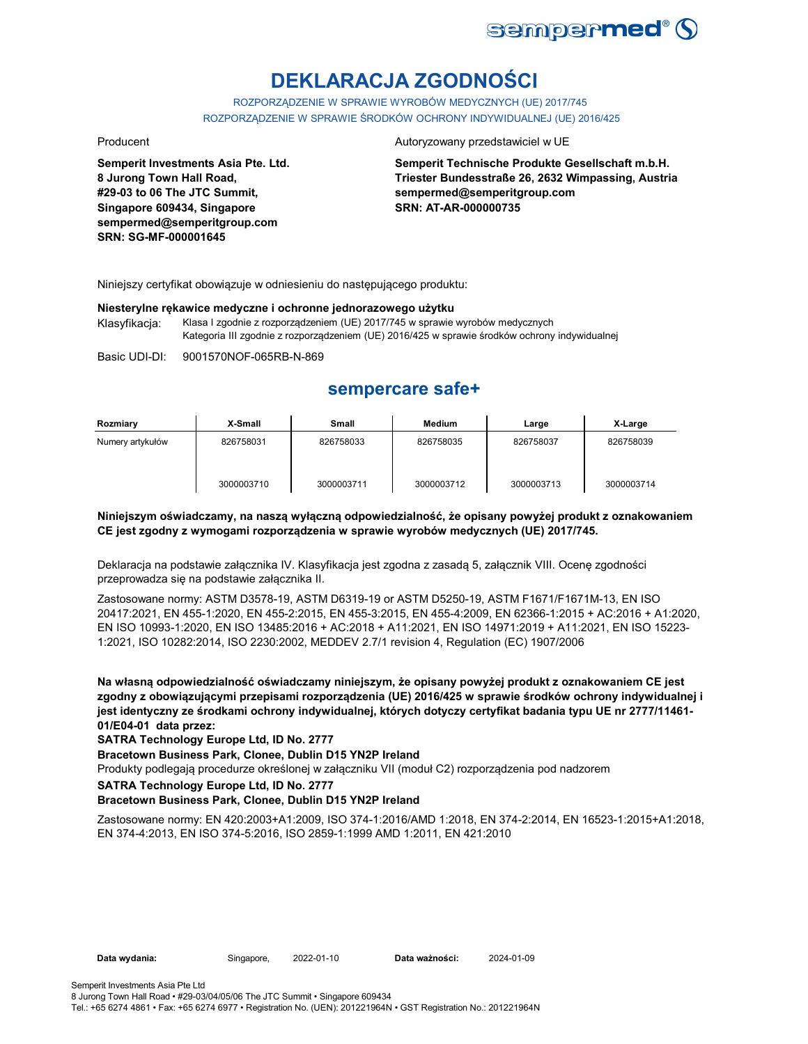

# **DEKLARACJA ZGODNOŚCI**

ROZPORZĄDZENIE W SPRAWIE WYROBÓW MEDYCZNYCH (UE) 2017/745 ROZPORZĄDZENIE W SPRAWIE ŚRODKÓW OCHRONY INDYWIDUALNEJ (UE) 2016/425

**Semperit Investments Asia Pte. Ltd. 8 Jurong Town Hall Road, #29-03 to 06 The JTC Summit, Singapore 609434, Singapore sempermed@semperitgroup.com SRN: SG-MF-000001645**

#### Producent **Autoryzowany przedstawiciel w UE**

**Semperit Technische Produkte Gesellschaft m.b.H. Triester Bundesstraße 26, 2632 Wimpassing, Austria sempermed@semperitgroup.com SRN: AT-AR-000000735**

Niniejszy certyfikat obowiązuje w odniesieniu do następującego produktu:

#### **Niesterylne rękawice medyczne i ochronne jednorazowego użytku** Klasyfikacja: Klasa I zgodnie z rozporządzeniem (UE) 2017/745 w sprawie wyrobów medycznych Kategoria III zgodnie z rozporządzeniem (UE) 2016/425 w sprawie środków ochrony indywidualnej

Basic UDI-DI: 9001570NOF-065RB-N-869

## **sempercare safe+**

| Rozmiary         | X-Small    | <b>Small</b> | <b>Medium</b> | Large      | X-Large    |
|------------------|------------|--------------|---------------|------------|------------|
| Numery artykułów | 826758031  | 826758033    | 826758035     | 826758037  | 826758039  |
|                  | 3000003710 | 3000003711   | 3000003712    | 3000003713 | 3000003714 |

### **Niniejszym oświadczamy, na naszą wyłączną odpowiedzialność, że opisany powyżej produkt z oznakowaniem CE jest zgodny z wymogami rozporządzenia w sprawie wyrobów medycznych (UE) 2017/745.**

Deklaracja na podstawie załącznika IV. Klasyfikacja jest zgodna z zasadą 5, załącznik VIII. Ocenę zgodności przeprowadza się na podstawie załącznika II.

Zastosowane normy: ASTM D3578-19, ASTM D6319-19 or ASTM D5250-19, ASTM F1671/F1671M-13, EN ISO 20417:2021, EN 455-1:2020, EN 455-2:2015, EN 455-3:2015, EN 455-4:2009, EN 62366-1:2015 + AC:2016 + A1:2020, EN ISO 10993-1:2020, EN ISO 13485:2016 + AC:2018 + A11:2021, EN ISO 14971:2019 + A11:2021, EN ISO 15223- 1:2021, ISO 10282:2014, ISO 2230:2002, MEDDEV 2.7/1 revision 4, Regulation (EC) 1907/2006

**Na własną odpowiedzialność oświadczamy niniejszym, że opisany powyżej produkt z oznakowaniem CE jest zgodny z obowiązującymi przepisami rozporządzenia (UE) 2016/425 w sprawie środków ochrony indywidualnej i jest identyczny ze środkami ochrony indywidualnej, których dotyczy certyfikat badania typu UE nr 2777/11461- 01/E04-01 data przez:**

#### **SATRA Technology Europe Ltd, ID No. 2777**

**Bracetown Business Park, Clonee, Dublin D15 YN2P Ireland**

Produkty podlegają procedurze określonej w załączniku VII (moduł C2) rozporządzenia pod nadzorem

**SATRA Technology Europe Ltd, ID No. 2777**

### **Bracetown Business Park, Clonee, Dublin D15 YN2P Ireland**

Zastosowane normy: EN 420:2003+A1:2009, ISO 374-1:2016/AMD 1:2018, EN 374-2:2014, EN 16523-1:2015+A1:2018, EN 374-4:2013, EN ISO 374-5:2016, ISO 2859-1:1999 AMD 1:2011, EN 421:2010

**Data wydania:** Singapore, 2022-01-10 **Data ważności:** 2024-01-09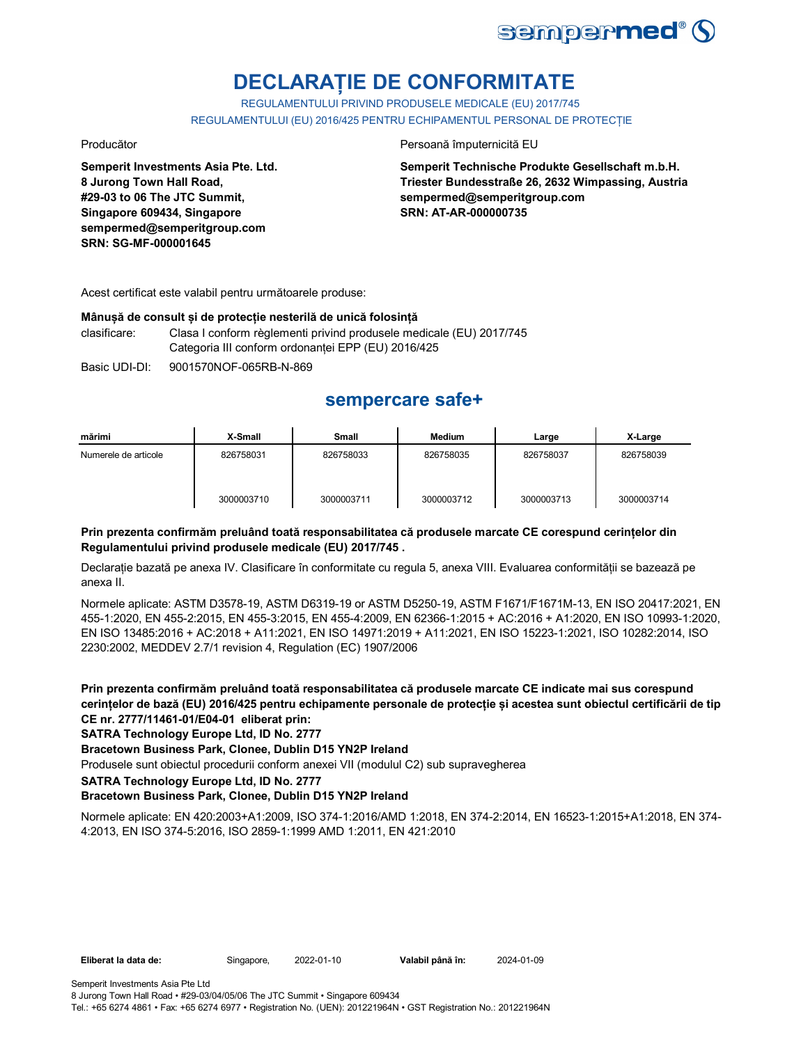

# **DECLARAȚIE DE CONFORMITATE**

REGULAMENTULUI PRIVIND PRODUSELE MEDICALE (EU) 2017/745 REGULAMENTULUI (EU) 2016/425 PENTRU ECHIPAMENTUL PERSONAL DE PROTECȚIE

**Semperit Investments Asia Pte. Ltd. 8 Jurong Town Hall Road, #29-03 to 06 The JTC Summit, Singapore 609434, Singapore sempermed@semperitgroup.com SRN: SG-MF-000001645**

#### Producător **Producător** Persoană împuternicită EU

**Semperit Technische Produkte Gesellschaft m.b.H. Triester Bundesstraße 26, 2632 Wimpassing, Austria sempermed@semperitgroup.com SRN: AT-AR-000000735**

Acest certificat este valabil pentru următoarele produse:

#### **Mânușă de consult și de protecție nesterilă de unică folosință**

clasificare: Clasa I conform règlementi privind produsele medicale (EU) 2017/745 Categoria III conform ordonanței EPP (EU) 2016/425

Basic UDI-DI: 9001570NOF-065RB-N-869

## **sempercare safe+**

| mărimi               | X-Small    | <b>Small</b> | <b>Medium</b> | Large      | X-Large    |
|----------------------|------------|--------------|---------------|------------|------------|
| Numerele de articole | 826758031  | 826758033    | 826758035     | 826758037  | 826758039  |
|                      | 3000003710 | 3000003711   | 3000003712    | 3000003713 | 3000003714 |

### **Prin prezenta confirmăm preluând toată responsabilitatea că produsele marcate CE corespund cerințelor din Regulamentului privind produsele medicale (EU) 2017/745 .**

Declarație bazată pe anexa IV. Clasificare în conformitate cu regula 5, anexa VIII. Evaluarea conformității se bazează pe anexa II.

Normele aplicate: ASTM D3578-19, ASTM D6319-19 or ASTM D5250-19, ASTM F1671/F1671M-13, EN ISO 20417:2021, EN 455-1:2020, EN 455-2:2015, EN 455-3:2015, EN 455-4:2009, EN 62366-1:2015 + AC:2016 + A1:2020, EN ISO 10993-1:2020, EN ISO 13485:2016 + AC:2018 + A11:2021, EN ISO 14971:2019 + A11:2021, EN ISO 15223-1:2021, ISO 10282:2014, ISO 2230:2002, MEDDEV 2.7/1 revision 4, Regulation (EC) 1907/2006

**Prin prezenta confirmăm preluând toată responsabilitatea că produsele marcate CE indicate mai sus corespund cerințelor de bază (EU) 2016/425 pentru echipamente personale de protecție și acestea sunt obiectul certificării de tip CE nr. 2777/11461-01/E04-01 eliberat prin:**

### **SATRA Technology Europe Ltd, ID No. 2777**

### **Bracetown Business Park, Clonee, Dublin D15 YN2P Ireland**

Produsele sunt obiectul procedurii conform anexei VII (modulul C2) sub supravegherea

**SATRA Technology Europe Ltd, ID No. 2777**

### **Bracetown Business Park, Clonee, Dublin D15 YN2P Ireland**

Normele aplicate: EN 420:2003+A1:2009, ISO 374-1:2016/AMD 1:2018, EN 374-2:2014, EN 16523-1:2015+A1:2018, EN 374- 4:2013, EN ISO 374-5:2016, ISO 2859-1:1999 AMD 1:2011, EN 421:2010

**Eliberat la data de:** Singapore, 2022-01-10 **Valabil până în:** 2024-01-09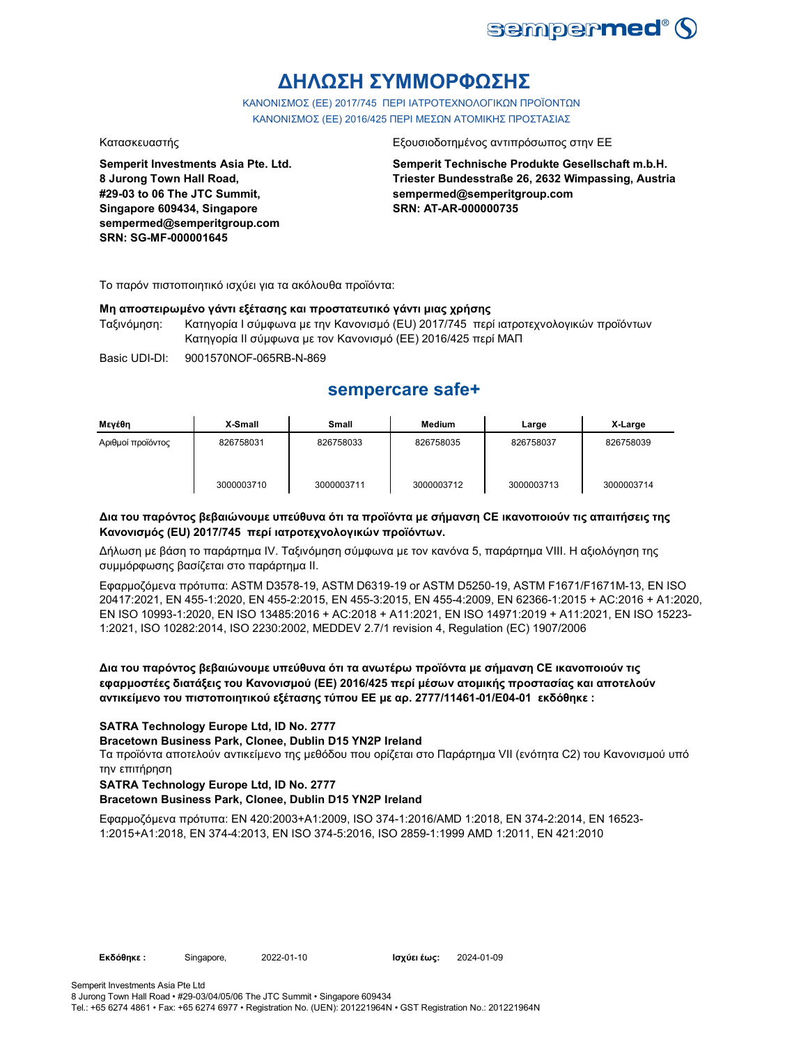

# **ΔΗΛΩΣΗ ΣΥΜΜΟΡΦΩΣΗΣ**

ΚΑΝΟΝΙΣΜΟΣ (EE) 2017/745 ΠΕΡΙ ΙΑΤΡΟΤΕΧΝΟΛΟΓΙΚΩΝ ΠΡΟΪΟΝΤΩΝ ΚΑΝΟΝΙΣΜΟΣ (ΕΕ) 2016/425 ΠΕΡΙ ΜΕΣΩΝ ΑΤΟΜΙΚΗΣ ΠΡΟΣΤΑΣΙΑΣ

**Semperit Investments Asia Pte. Ltd. 8 Jurong Town Hall Road, #29-03 to 06 The JTC Summit, Singapore 609434, Singapore sempermed@semperitgroup.com SRN: SG-MF-000001645**

#### Κατασκευαστής Εξουσιοδοτημένος αντιπρόσωπος στην ΕΕ

**Semperit Technische Produkte Gesellschaft m.b.H. Triester Bundesstraße 26, 2632 Wimpassing, Austria sempermed@semperitgroup.com SRN: AT-AR-000000735**

Το παρόν πιστοποιητικό ισχύει για τα ακόλουθα προϊόντα:

### **Μη αποστειρωμένο γάντι εξέτασης και προστατευτικό γάντι μιας χρήσης**

Ταξινόμηση: Κατηγορία I σύμφωνα με την Κανονισμό (EU) 2017/745 περί ιατροτεχνολογικών προϊόντων Κατηγορία II σύμφωνα με τον Κανονισμό (ΕΕ) 2016/425 περί ΜΑΠ

Basic UDI-DI: 9001570NOF-065RB-N-869

## **sempercare safe+**

| Μενέθη            | X-Small    | <b>Small</b> | <b>Medium</b> | Large      | X-Large    |
|-------------------|------------|--------------|---------------|------------|------------|
| Αριθμοί προϊόντος | 826758031  | 826758033    | 826758035     | 826758037  | 826758039  |
|                   | 3000003710 | 3000003711   | 3000003712    | 3000003713 | 3000003714 |

### **Δια του παρόντος βεβαιώνουμε υπεύθυνα ότι τα προϊόντα με σήμανση CE ικανοποιούν τις απαιτήσεις της Κανονισμός (EU) 2017/745 περί ιατροτεχνολογικών προϊόντων.**

Δήλωση με βάση το παράρτημα IV. Ταξινόμηση σύμφωνα με τον κανόνα 5, παράρτημα VIII. Η αξιολόγηση της συμμόρφωσης βασίζεται στο παράρτημα II.

Εφαρμοζόμενα πρότυπα: ASTM D3578-19, ASTM D6319-19 or ASTM D5250-19, ASTM F1671/F1671M-13, EN ISO 20417:2021, EN 455-1:2020, EN 455-2:2015, EN 455-3:2015, EN 455-4:2009, EN 62366-1:2015 + AC:2016 + A1:2020, EN ISO 10993-1:2020, EN ISO 13485:2016 + AC:2018 + A11:2021, EN ISO 14971:2019 + A11:2021, EN ISO 15223- 1:2021, ISO 10282:2014, ISO 2230:2002, MEDDEV 2.7/1 revision 4, Regulation (EC) 1907/2006

**Δια του παρόντος βεβαιώνουμε υπεύθυνα ότι τα ανωτέρω προϊόντα με σήμανση CE ικανοποιούν τις εφαρμοστέες διατάξεις του Κανονισμού (ΕΕ) 2016/425 περί μέσων ατομικής προστασίας και αποτελούν αντικείμενο του πιστοποιητικού εξέτασης τύπου ΕΕ με αρ. 2777/11461-01/E04-01 εκδόθηκε :**

### **SATRA Technology Europe Ltd, ID No. 2777**

### **Bracetown Business Park, Clonee, Dublin D15 YN2P Ireland**

Τα προϊόντα αποτελούν αντικείμενο της μεθόδου που ορίζεται στο Παράρτημα VII (ενότητα C2) του Κανονισμού υπό την επιτήρηση

### **SATRA Technology Europe Ltd, ID No. 2777**

### **Bracetown Business Park, Clonee, Dublin D15 YN2P Ireland**

Εφαρμοζόμενα πρότυπα: EN 420:2003+A1:2009, ISO 374-1:2016/AMD 1:2018, EN 374-2:2014, EN 16523- 1:2015+A1:2018, EN 374-4:2013, EN ISO 374-5:2016, ISO 2859-1:1999 AMD 1:2011, EN 421:2010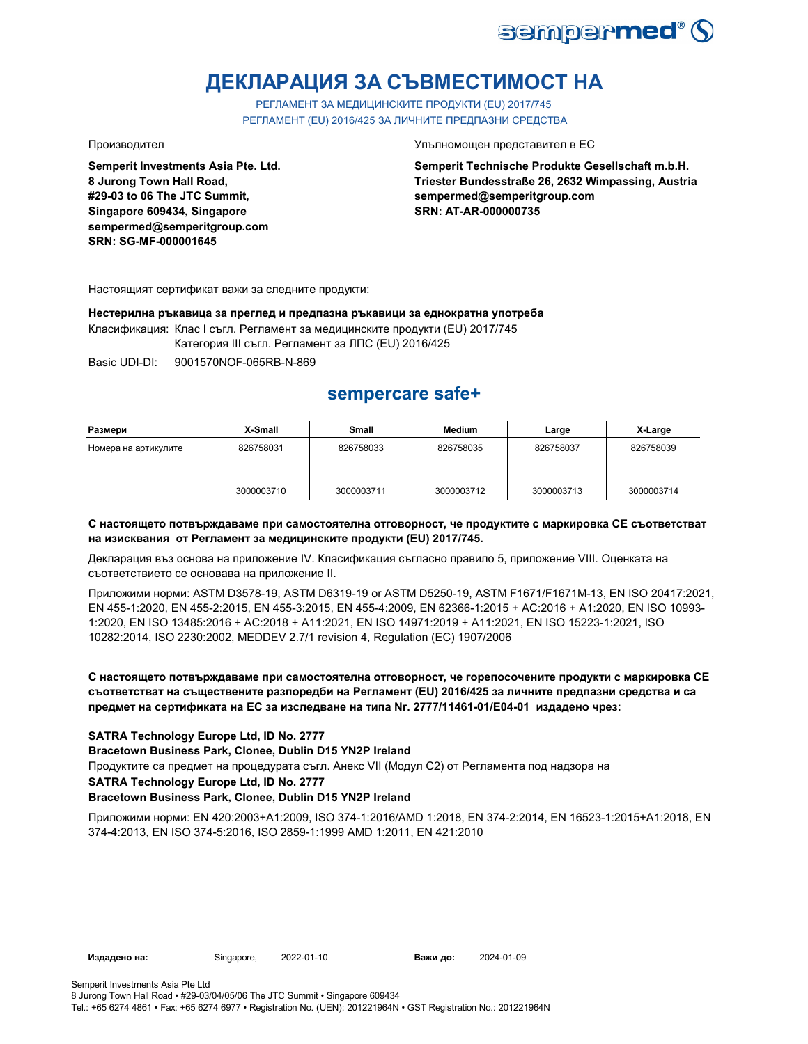

# **ДЕКЛАРАЦИЯ ЗА СЪВМЕСТИМОСТ НА**

РЕГЛАМЕНТ ЗА МЕДИЦИНСКИТЕ ПРОДУКТИ (EU) 2017/745 РЕГЛАМЕНТ (EU) 2016/425 ЗА ЛИЧНИТЕ ПРЕДПАЗНИ СРЕДСТВА

**Semperit Investments Asia Pte. Ltd. 8 Jurong Town Hall Road, #29-03 to 06 The JTC Summit, Singapore 609434, Singapore sempermed@semperitgroup.com SRN: SG-MF-000001645**

Производител Упълномощен представител в ЕС

**Semperit Technische Produkte Gesellschaft m.b.H. Triester Bundesstraße 26, 2632 Wimpassing, Austria sempermed@semperitgroup.com SRN: AT-AR-000000735**

Настоящият сертификат важи за следните продукти:

**Нестерилна ръкавица за преглед и предпазна ръкавици за еднократна употреба** Класификация: Клас I съгл. Регламент за медицинските продукти (EU) 2017/745 Категория III съгл. Регламент за ЛПС (EU) 2016/425

Basic UDI-DI: 9001570NOF-065RB-N-869

# **sempercare safe+**

| Размери              | X-Small    | Small      | <b>Medium</b> | Large      | X-Large    |
|----------------------|------------|------------|---------------|------------|------------|
| Номера на артикулите | 826758031  | 826758033  | 826758035     | 826758037  | 826758039  |
|                      | 3000003710 | 3000003711 | 3000003712    | 3000003713 | 3000003714 |

### **С настоящето потвърждаваме при самостоятелна отговорност, че продуктите с маркировка СЕ съответстват на изисквания от Регламент за медицинските продукти (EU) 2017/745.**

Декларация въз основа на приложение IV. Класификация съгласно правило 5, приложение VIII. Оценката на съответствието се основава на приложение II.

Приложими норми: ASTM D3578-19, ASTM D6319-19 or ASTM D5250-19, ASTM F1671/F1671M-13, EN ISO 20417:2021, EN 455-1:2020, EN 455-2:2015, EN 455-3:2015, EN 455-4:2009, EN 62366-1:2015 + AC:2016 + A1:2020, EN ISO 10993- 1:2020, EN ISO 13485:2016 + AC:2018 + A11:2021, EN ISO 14971:2019 + A11:2021, EN ISO 15223-1:2021, ISO 10282:2014, ISO 2230:2002, MEDDEV 2.7/1 revision 4, Regulation (EC) 1907/2006

### **С настоящето потвърждаваме при самостоятелна отговорност, че горепосочените продукти с маркировка СЕ съответстват на съществените разпоредби на Регламент (EU) 2016/425 за личните предпазни средства и са предмет на сертификата на ЕС за изследване на типа Nr. 2777/11461-01/E04-01 издадено чрез:**

### **SATRA Technology Europe Ltd, ID No. 2777**

**Bracetown Business Park, Clonee, Dublin D15 YN2P Ireland**

Продуктите са предмет на процедурата съгл. Анекс VII (Модул С2) от Регламента под надзора на

#### **SATRA Technology Europe Ltd, ID No. 2777**

### **Bracetown Business Park, Clonee, Dublin D15 YN2P Ireland**

Приложими норми: EN 420:2003+A1:2009, ISO 374-1:2016/AMD 1:2018, EN 374-2:2014, EN 16523-1:2015+A1:2018, EN 374-4:2013, EN ISO 374-5:2016, ISO 2859-1:1999 AMD 1:2011, EN 421:2010

**Издадено на:** Singapore, 2022-01-10 **Важи до:** 2024-01-09